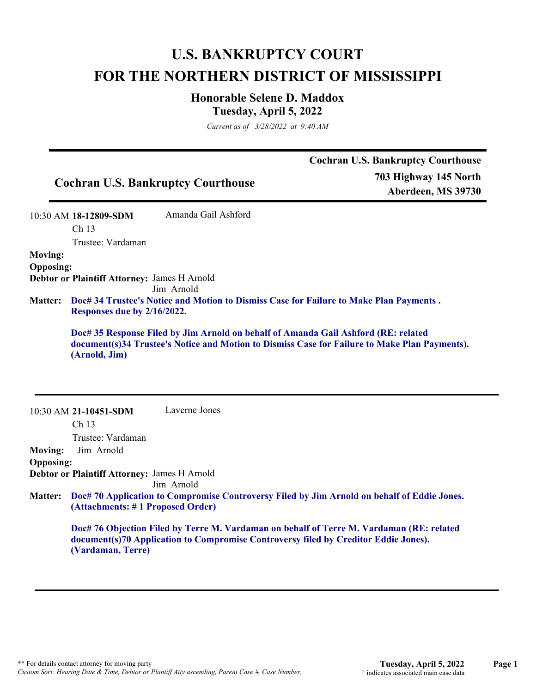# **U.S. BANKRUPTCY COURT FOR THE NORTHERN DISTRICT OF MISSISSIPPI**

## **Honorable Selene D. Maddox Tuesday, April 5, 2022**

*Current as of 3/28/2022 at 9:40 AM*

|                  |                                              | <b>Cochran U.S. Bankruptcy Courthouse</b>                                          | <b>Cochran U.S. Bankruptcy Courthouse</b><br>703 Highway 145 North<br>Aberdeen, MS 39730      |
|------------------|----------------------------------------------|------------------------------------------------------------------------------------|-----------------------------------------------------------------------------------------------|
|                  | 10:30 AM 18-12809-SDM                        | Amanda Gail Ashford                                                                |                                                                                               |
|                  | Ch 13<br>Trustee: Vardaman                   |                                                                                    |                                                                                               |
| <b>Moving:</b>   |                                              |                                                                                    |                                                                                               |
| <b>Opposing:</b> |                                              |                                                                                    |                                                                                               |
|                  | Debtor or Plaintiff Attorney: James H Arnold | Jim Arnold                                                                         |                                                                                               |
| <b>Matter:</b>   | Responses due by 2/16/2022.                  |                                                                                    | Doc# 34 Trustee's Notice and Motion to Dismiss Case for Failure to Make Plan Payments.        |
|                  |                                              |                                                                                    |                                                                                               |
|                  | (Arnold, Jim)                                | Doc# 35 Response Filed by Jim Arnold on behalf of Amanda Gail Ashford (RE: related | document(s)34 Trustee's Notice and Motion to Dismiss Case for Failure to Make Plan Payments). |
|                  | 10:30 AM 21-10451-SDM                        | Laverne Jones                                                                      |                                                                                               |
|                  | Ch <sub>13</sub>                             |                                                                                    |                                                                                               |
|                  | Trustee: Vardaman                            |                                                                                    |                                                                                               |
| <b>Moving:</b>   | Jim Arnold                                   |                                                                                    |                                                                                               |
| <b>Opposing:</b> | Debtor or Plaintiff Attorney: James H Arnold | Jim Arnold                                                                         |                                                                                               |
| <b>Matter:</b>   | (Attachments: #1 Proposed Order)             |                                                                                    | Doc# 70 Application to Compromise Controversy Filed by Jim Arnold on behalf of Eddie Jones.   |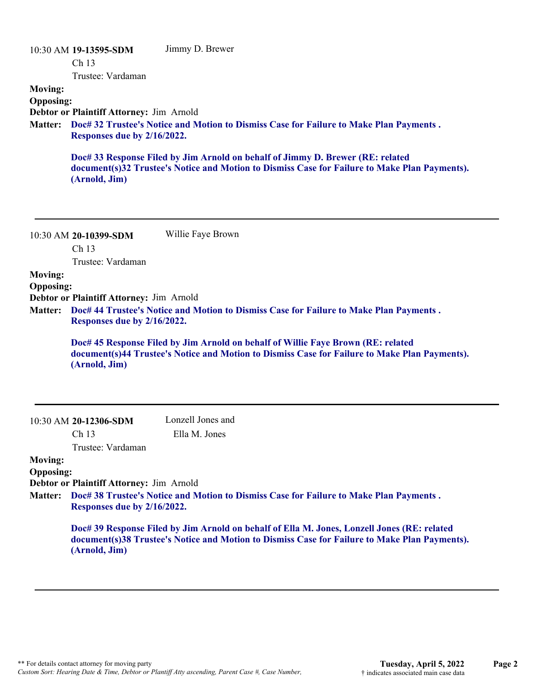|                  | 10:30 AM 19-13595-SDM                           | Jimmy D. Brewer                                                                                                                                                                 |
|------------------|-------------------------------------------------|---------------------------------------------------------------------------------------------------------------------------------------------------------------------------------|
|                  | Ch <sub>13</sub>                                |                                                                                                                                                                                 |
|                  | Trustee: Vardaman                               |                                                                                                                                                                                 |
| <b>Moving:</b>   |                                                 |                                                                                                                                                                                 |
| <b>Opposing:</b> |                                                 |                                                                                                                                                                                 |
|                  | <b>Debtor or Plaintiff Attorney: Jim Arnold</b> |                                                                                                                                                                                 |
|                  | Responses due by 2/16/2022.                     | Matter: Doc# 32 Trustee's Notice and Motion to Dismiss Case for Failure to Make Plan Payments.                                                                                  |
|                  | (Arnold, Jim)                                   | Doc# 33 Response Filed by Jim Arnold on behalf of Jimmy D. Brewer (RE: related<br>document(s)32 Trustee's Notice and Motion to Dismiss Case for Failure to Make Plan Payments). |
|                  | 10:30 AM 20-10399-SDM                           | Willie Faye Brown                                                                                                                                                               |
|                  | Ch <sub>13</sub>                                |                                                                                                                                                                                 |
|                  | Trustee: Vardaman                               |                                                                                                                                                                                 |
| <b>Moving:</b>   |                                                 |                                                                                                                                                                                 |

**Opposing:**

**Debtor or Plaintiff Attorney:** Jim Arnold

**Doc# 44 Trustee's Notice and Motion to Dismiss Case for Failure to Make Plan Payments . Matter: Responses due by 2/16/2022.**

**Doc# 45 Response Filed by Jim Arnold on behalf of Willie Faye Brown (RE: related document(s)44 Trustee's Notice and Motion to Dismiss Case for Failure to Make Plan Payments). (Arnold, Jim)**

| $10:30$ AM 20-12306-SDM |
|-------------------------|
| Ch 13                   |

Lonzell Jones and Ella M. Jones

Trustee: Vardaman

#### **Moving: Opposing:**

**Debtor or Plaintiff Attorney:** Jim Arnold

**Doc# 38 Trustee's Notice and Motion to Dismiss Case for Failure to Make Plan Payments . Matter: Responses due by 2/16/2022.**

> **Doc# 39 Response Filed by Jim Arnold on behalf of Ella M. Jones, Lonzell Jones (RE: related document(s)38 Trustee's Notice and Motion to Dismiss Case for Failure to Make Plan Payments). (Arnold, Jim)**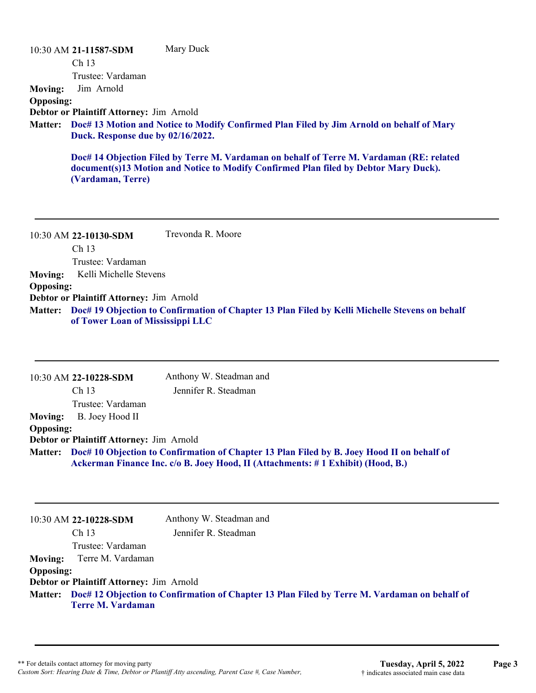10:30 AM **21-11587-SDM**  Ch 13 Trustee: Vardaman Mary Duck **Moving:** Jim Arnold **Opposing: Debtor or Plaintiff Attorney:** Jim Arnold **Doc# 13 Motion and Notice to Modify Confirmed Plan Filed by Jim Arnold on behalf of Mary Matter: Duck. Response due by 02/16/2022. Doc# 14 Objection Filed by Terre M. Vardaman on behalf of Terre M. Vardaman (RE: related document(s)13 Motion and Notice to Modify Confirmed Plan filed by Debtor Mary Duck). (Vardaman, Terre)** 10:30 AM **22-10130-SDM**  Trevonda R. Moore

Ch 13 Trustee: Vardaman **Moving:** Kelli Michelle Stevens

#### **Opposing:**

**Debtor or Plaintiff Attorney:** Jim Arnold

**Doc# 19 Objection to Confirmation of Chapter 13 Plan Filed by Kelli Michelle Stevens on behalf Matter: of Tower Loan of Mississippi LLC**

10:30 AM **22-10228-SDM**  Ch 13 Trustee: Vardaman Anthony W. Steadman and Jennifer R. Steadman **Moving:** B. Joey Hood II **Opposing: Debtor or Plaintiff Attorney:** Jim Arnold **Doc# 10 Objection to Confirmation of Chapter 13 Plan Filed by B. Joey Hood II on behalf of Matter: Ackerman Finance Inc. c/o B. Joey Hood, II (Attachments: # 1 Exhibit) (Hood, B.)**

|                  | 10:30 AM 22-10228-SDM                    | Anthony W. Steadman and                                                                              |
|------------------|------------------------------------------|------------------------------------------------------------------------------------------------------|
|                  | Ch <sub>13</sub>                         | Jennifer R. Steadman                                                                                 |
|                  | Trustee: Vardaman                        |                                                                                                      |
|                  | <b>Moving:</b> Terre M. Vardaman         |                                                                                                      |
| <b>Opposing:</b> |                                          |                                                                                                      |
|                  | Debtor or Plaintiff Attorney: Jim Arnold |                                                                                                      |
|                  | <b>Terre M. Vardaman</b>                 | Matter: Doc# 12 Objection to Confirmation of Chapter 13 Plan Filed by Terre M. Vardaman on behalf of |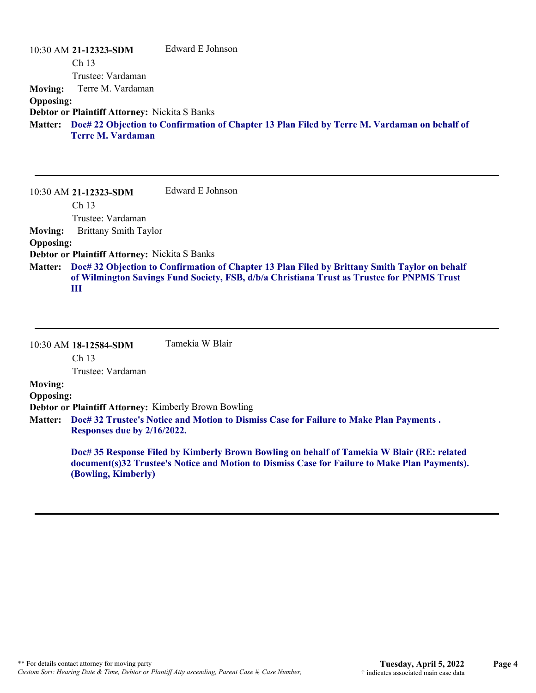|                  | 10:30 AM 21-12323-SDM                                | Edward E Johnson                                                                                     |
|------------------|------------------------------------------------------|------------------------------------------------------------------------------------------------------|
|                  | Ch <sub>13</sub>                                     |                                                                                                      |
|                  | Trustee: Vardaman                                    |                                                                                                      |
| <b>Moving:</b>   | Terre M. Vardaman                                    |                                                                                                      |
| <b>Opposing:</b> |                                                      |                                                                                                      |
|                  | <b>Debtor or Plaintiff Attorney: Nickita S Banks</b> |                                                                                                      |
|                  |                                                      | Matter: Doc# 22 Objection to Confirmation of Chapter 13 Plan Filed by Terre M. Vardaman on behalf of |
|                  | <b>Terre M. Vardaman</b>                             |                                                                                                      |
|                  |                                                      |                                                                                                      |

10:30 AM **21-12323-SDM**  Ch 13 Trustee: Vardaman Edward E Johnson **Moving:** Brittany Smith Taylor **Opposing: Debtor or Plaintiff Attorney:** Nickita S Banks **Doc# 32 Objection to Confirmation of Chapter 13 Plan Filed by Brittany Smith Taylor on behalf Matter: of Wilmington Savings Fund Society, FSB, d/b/a Christiana Trust as Trustee for PNPMS Trust III**

10:30 AM **18-12584-SDM**  Ch 13 Trustee: Vardaman Tamekia W Blair **Moving: Opposing: Debtor or Plaintiff Attorney:** Kimberly Brown Bowling **Doc# 32 Trustee's Notice and Motion to Dismiss Case for Failure to Make Plan Payments . Matter: Responses due by 2/16/2022. Doc# 35 Response Filed by Kimberly Brown Bowling on behalf of Tamekia W Blair (RE: related**

**document(s)32 Trustee's Notice and Motion to Dismiss Case for Failure to Make Plan Payments). (Bowling, Kimberly)**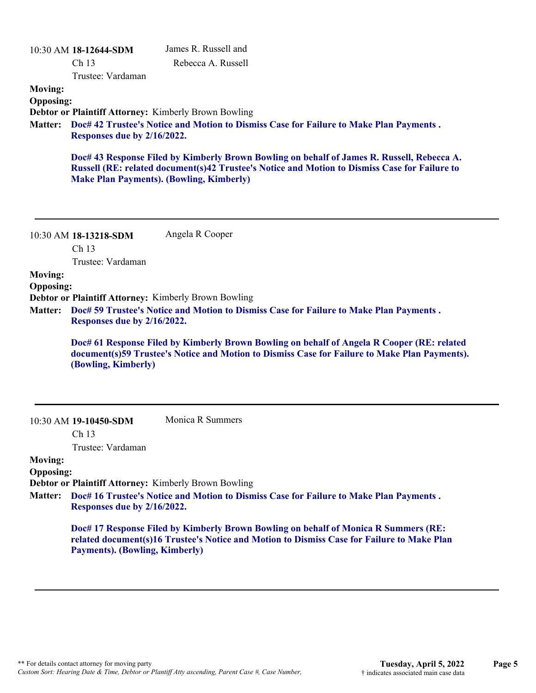| <b>Moving:</b>                                       | 10:30 AM 18-12644-SDM<br>Ch <sub>13</sub><br>Trustee: Vardaman | James R. Russell and<br>Rebecca A. Russell                                                                                                                                                                                                                                                                                                    |
|------------------------------------------------------|----------------------------------------------------------------|-----------------------------------------------------------------------------------------------------------------------------------------------------------------------------------------------------------------------------------------------------------------------------------------------------------------------------------------------|
| <b>Opposing:</b><br><b>Matter:</b>                   | Responses due by 2/16/2022.                                    | <b>Debtor or Plaintiff Attorney: Kimberly Brown Bowling</b><br>Doc# 42 Trustee's Notice and Motion to Dismiss Case for Failure to Make Plan Payments.                                                                                                                                                                                         |
|                                                      |                                                                | Doc# 43 Response Filed by Kimberly Brown Bowling on behalf of James R. Russell, Rebecca A.<br>Russell (RE: related document(s)42 Trustee's Notice and Motion to Dismiss Case for Failure to<br><b>Make Plan Payments). (Bowling, Kimberly)</b>                                                                                                |
|                                                      | 10:30 AM 18-13218-SDM<br>Ch <sub>13</sub><br>Trustee: Vardaman | Angela R Cooper                                                                                                                                                                                                                                                                                                                               |
| <b>Moving:</b><br><b>Opposing:</b><br><b>Matter:</b> | Responses due by 2/16/2022.<br>(Bowling, Kimberly)             | Debtor or Plaintiff Attorney: Kimberly Brown Bowling<br>Doc# 59 Trustee's Notice and Motion to Dismiss Case for Failure to Make Plan Payments.<br>Doc# 61 Response Filed by Kimberly Brown Bowling on behalf of Angela R Cooper (RE: related<br>document(s)59 Trustee's Notice and Motion to Dismiss Case for Failure to Make Plan Payments). |
|                                                      | 10:30 AM 19-10450-SDM<br>Ch <sub>13</sub>                      | Monica R Summers                                                                                                                                                                                                                                                                                                                              |
| <b>Moving:</b><br><b>Opposing:</b><br><b>Matter:</b> | Trustee: Vardaman<br>Responses due by 2/16/2022.               | <b>Debtor or Plaintiff Attorney: Kimberly Brown Bowling</b><br>Doc# 16 Trustee's Notice and Motion to Dismiss Case for Failure to Make Plan Payments.                                                                                                                                                                                         |
|                                                      | <b>Payments). (Bowling, Kimberly)</b>                          | Doc# 17 Response Filed by Kimberly Brown Bowling on behalf of Monica R Summers (RE:<br>related document(s)16 Trustee's Notice and Motion to Dismiss Case for Failure to Make Plan                                                                                                                                                             |
|                                                      |                                                                |                                                                                                                                                                                                                                                                                                                                               |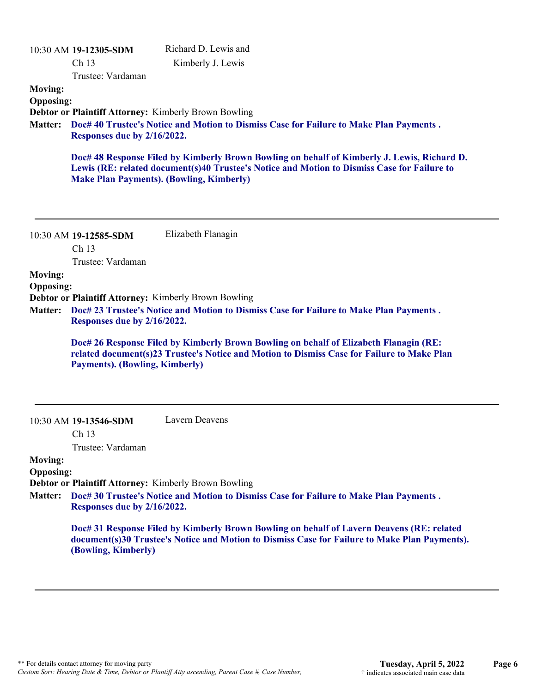| <b>Moving:</b><br><b>Opposing:</b><br><b>Matter:</b> | 10:30 AM 19-12305-SDM<br>Ch <sub>13</sub><br>Trustee: Vardaman<br>Responses due by 2/16/2022.                               | Richard D. Lewis and<br>Kimberly J. Lewis<br>Debtor or Plaintiff Attorney: Kimberly Brown Bowling<br>Doc# 40 Trustee's Notice and Motion to Dismiss Case for Failure to Make Plan Payments.<br>Doc# 48 Response Filed by Kimberly Brown Bowling on behalf of Kimberly J. Lewis, Richard D.<br>Lewis (RE: related document(s)40 Trustee's Notice and Motion to Dismiss Case for Failure to<br><b>Make Plan Payments). (Bowling, Kimberly)</b> |
|------------------------------------------------------|-----------------------------------------------------------------------------------------------------------------------------|----------------------------------------------------------------------------------------------------------------------------------------------------------------------------------------------------------------------------------------------------------------------------------------------------------------------------------------------------------------------------------------------------------------------------------------------|
| <b>Moving:</b><br><b>Opposing:</b><br><b>Matter:</b> | 10:30 AM 19-12585-SDM<br>Ch 13<br>Trustee: Vardaman<br>Responses due by 2/16/2022.<br><b>Payments). (Bowling, Kimberly)</b> | Elizabeth Flanagin<br>Debtor or Plaintiff Attorney: Kimberly Brown Bowling<br>Doc# 23 Trustee's Notice and Motion to Dismiss Case for Failure to Make Plan Payments.<br>Doc# 26 Response Filed by Kimberly Brown Bowling on behalf of Elizabeth Flanagin (RE:<br>related document(s)23 Trustee's Notice and Motion to Dismiss Case for Failure to Make Plan                                                                                  |
| <b>Moving:</b><br><b>Opposing:</b><br><b>Matter:</b> | 10:30 AM 19-13546-SDM<br>Ch <sub>13</sub><br>Trustee: Vardaman<br>Responses due by 2/16/2022.<br>(Bowling, Kimberly)        | Lavern Deavens<br>Debtor or Plaintiff Attorney: Kimberly Brown Bowling<br>Doc# 30 Trustee's Notice and Motion to Dismiss Case for Failure to Make Plan Payments.<br>Doc# 31 Response Filed by Kimberly Brown Bowling on behalf of Lavern Deavens (RE: related<br>document(s)30 Trustee's Notice and Motion to Dismiss Case for Failure to Make Plan Payments).                                                                               |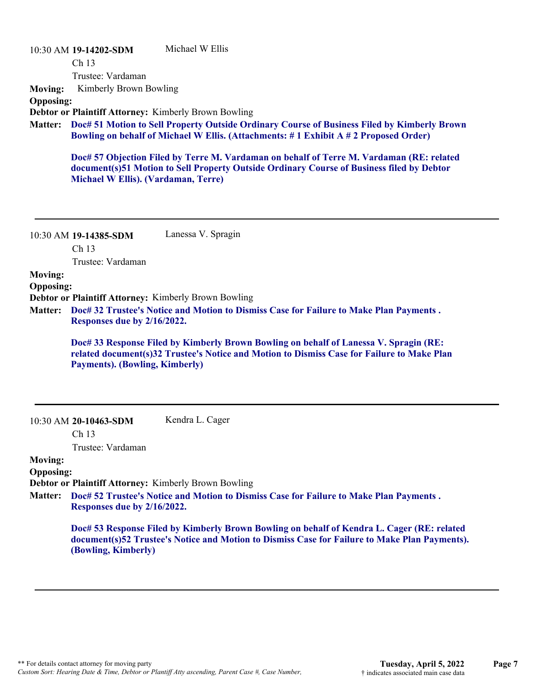|                  | 10:30 AM 19-14202-SDM               | Michael W Ellis                                                                                                                                                                            |
|------------------|-------------------------------------|--------------------------------------------------------------------------------------------------------------------------------------------------------------------------------------------|
|                  | Ch <sub>13</sub>                    |                                                                                                                                                                                            |
|                  | Trustee: Vardaman                   |                                                                                                                                                                                            |
| <b>Moving:</b>   | Kimberly Brown Bowling              |                                                                                                                                                                                            |
| <b>Opposing:</b> |                                     |                                                                                                                                                                                            |
|                  |                                     | <b>Debtor or Plaintiff Attorney: Kimberly Brown Bowling</b>                                                                                                                                |
|                  |                                     | Matter: Doc# 51 Motion to Sell Property Outside Ordinary Course of Business Filed by Kimberly Brown<br>Bowling on behalf of Michael W Ellis. (Attachments: #1 Exhibit A #2 Proposed Order) |
|                  | Michael W Ellis). (Vardaman, Terre) | Doc# 57 Objection Filed by Terre M. Vardaman on behalf of Terre M. Vardaman (RE: related<br>document(s)51 Motion to Sell Property Outside Ordinary Course of Business filed by Debtor      |

|                | Ch <sub>13</sub>  |  |  |
|----------------|-------------------|--|--|
|                | Trustee: Vardaman |  |  |
| <b>Moving:</b> |                   |  |  |

**Opposing:**

10:30 AM **19-14385-SDM** 

**Debtor or Plaintiff Attorney:** Kimberly Brown Bowling

**Doc# 32 Trustee's Notice and Motion to Dismiss Case for Failure to Make Plan Payments . Matter: Responses due by 2/16/2022.**

Lanessa V. Spragin

**Doc# 33 Response Filed by Kimberly Brown Bowling on behalf of Lanessa V. Spragin (RE: related document(s)32 Trustee's Notice and Motion to Dismiss Case for Failure to Make Plan Payments). (Bowling, Kimberly)**

| Kendra L. Cager |  |
|-----------------|--|
|                 |  |

Ch 13

Trustee: Vardaman

**Moving:**

#### **Opposing:**

**Debtor or Plaintiff Attorney:** Kimberly Brown Bowling

**Doc# 52 Trustee's Notice and Motion to Dismiss Case for Failure to Make Plan Payments . Matter: Responses due by 2/16/2022.**

> **Doc# 53 Response Filed by Kimberly Brown Bowling on behalf of Kendra L. Cager (RE: related document(s)52 Trustee's Notice and Motion to Dismiss Case for Failure to Make Plan Payments). (Bowling, Kimberly)**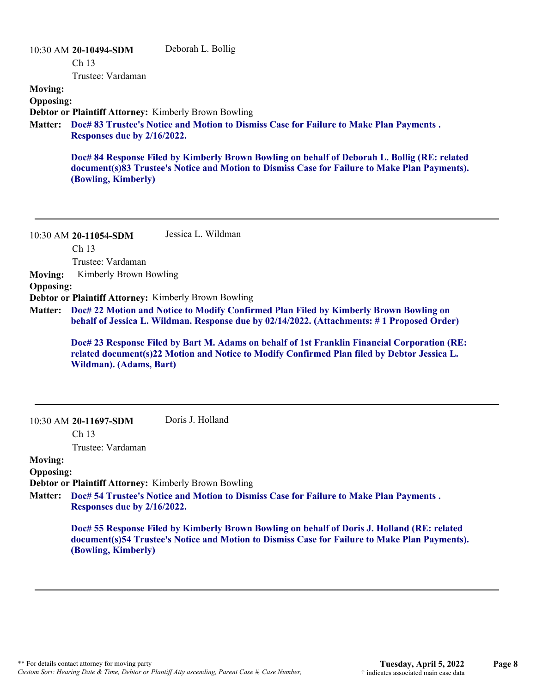## 10:30 AM **20-10494-SDM**  Ch 13 Trustee: Vardaman Deborah L. Bollig **Moving: Opposing: Debtor or Plaintiff Attorney:** Kimberly Brown Bowling **Doc# 83 Trustee's Notice and Motion to Dismiss Case for Failure to Make Plan Payments . Matter: Responses due by 2/16/2022. Doc# 84 Response Filed by Kimberly Brown Bowling on behalf of Deborah L. Bollig (RE: related document(s)83 Trustee's Notice and Motion to Dismiss Case for Failure to Make Plan Payments). (Bowling, Kimberly)**

10:30 AM **20-11054-SDM**  Ch 13 Trustee: Vardaman Jessica L. Wildman **Moving:** Kimberly Brown Bowling **Opposing: Debtor or Plaintiff Attorney:** Kimberly Brown Bowling **Doc# 22 Motion and Notice to Modify Confirmed Plan Filed by Kimberly Brown Bowling on Matter: behalf of Jessica L. Wildman. Response due by 02/14/2022. (Attachments: # 1 Proposed Order)**

> **Doc# 23 Response Filed by Bart M. Adams on behalf of 1st Franklin Financial Corporation (RE: related document(s)22 Motion and Notice to Modify Confirmed Plan filed by Debtor Jessica L. Wildman). (Adams, Bart)**

10:30 AM **20-11697-SDM**  Doris J. Holland

Ch 13

Trustee: Vardaman

## **Moving:**

**Opposing:**

**Debtor or Plaintiff Attorney:** Kimberly Brown Bowling

**Doc# 54 Trustee's Notice and Motion to Dismiss Case for Failure to Make Plan Payments . Matter: Responses due by 2/16/2022.**

> **Doc# 55 Response Filed by Kimberly Brown Bowling on behalf of Doris J. Holland (RE: related document(s)54 Trustee's Notice and Motion to Dismiss Case for Failure to Make Plan Payments). (Bowling, Kimberly)**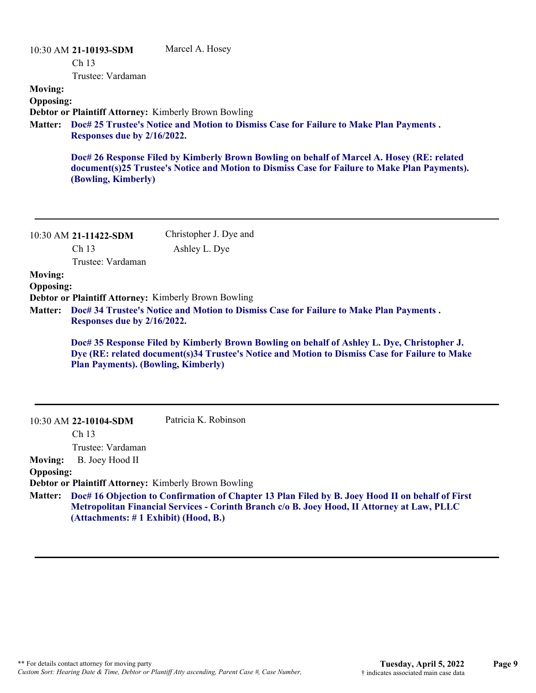| <b>Moving:</b><br><b>Opposing:</b> | 10:30 AM 21-10193-SDM<br>Ch 13<br>Trustee: Vardaman                                        | Marcel A. Hosey                                                                                                                                                                                 |
|------------------------------------|--------------------------------------------------------------------------------------------|-------------------------------------------------------------------------------------------------------------------------------------------------------------------------------------------------|
| <b>Matter:</b>                     | <b>Debtor or Plaintiff Attorney: Kimberly Brown Bowling</b><br>Responses due by 2/16/2022. | Doc# 25 Trustee's Notice and Motion to Dismiss Case for Failure to Make Plan Payments.                                                                                                          |
|                                    | (Bowling, Kimberly)                                                                        | Doc# 26 Response Filed by Kimberly Brown Bowling on behalf of Marcel A. Hosey (RE: related<br>document(s)25 Trustee's Notice and Motion to Dismiss Case for Failure to Make Plan Payments).     |
|                                    | 10:30 AM 21-11422-SDM                                                                      | Christopher J. Dye and                                                                                                                                                                          |
|                                    | Ch <sub>13</sub><br>Trustee: Vardaman                                                      | Ashley L. Dye                                                                                                                                                                                   |
| <b>Moving:</b>                     |                                                                                            |                                                                                                                                                                                                 |
| <b>Opposing:</b>                   |                                                                                            |                                                                                                                                                                                                 |
|                                    | <b>Debtor or Plaintiff Attorney: Kimberly Brown Bowling</b>                                |                                                                                                                                                                                                 |
| <b>Matter:</b>                     | Responses due by 2/16/2022.                                                                | Doc# 34 Trustee's Notice and Motion to Dismiss Case for Failure to Make Plan Payments.                                                                                                          |
|                                    | <b>Plan Payments). (Bowling, Kimberly)</b>                                                 | Doc# 35 Response Filed by Kimberly Brown Bowling on behalf of Ashley L. Dye, Christopher J.<br>Dye (RE: related document(s)34 Trustee's Notice and Motion to Dismiss Case for Failure to Make   |
|                                    | 10:30 AM 22-10104-SDM                                                                      | Patricia K. Robinson                                                                                                                                                                            |
|                                    | Ch 13                                                                                      |                                                                                                                                                                                                 |
| <b>Moving:</b>                     | Trustee: Vardaman<br>B. Joey Hood II                                                       |                                                                                                                                                                                                 |
| <b>Opposing:</b>                   |                                                                                            |                                                                                                                                                                                                 |
|                                    | <b>Debtor or Plaintiff Attorney: Kimberly Brown Bowling</b>                                |                                                                                                                                                                                                 |
| <b>Matter:</b>                     | (Attachments: #1 Exhibit) (Hood, B.)                                                       | Doc# 16 Objection to Confirmation of Chapter 13 Plan Filed by B. Joey Hood II on behalf of First<br>Metropolitan Financial Services - Corinth Branch c/o B. Joey Hood, II Attorney at Law, PLLC |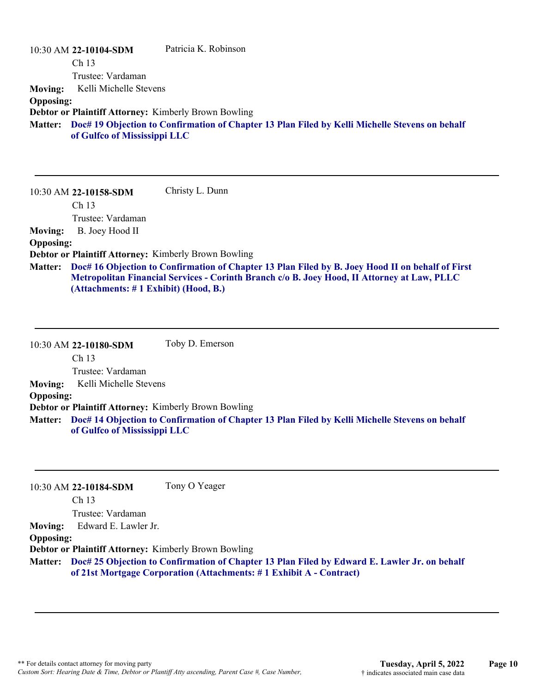|                  | 10:30 AM 22-10104-SDM                                       | Patricia K. Robinson                                                                           |
|------------------|-------------------------------------------------------------|------------------------------------------------------------------------------------------------|
|                  | Ch <sub>13</sub>                                            |                                                                                                |
|                  | Trustee: Vardaman                                           |                                                                                                |
| <b>Moving:</b>   | Kelli Michelle Stevens                                      |                                                                                                |
| <b>Opposing:</b> |                                                             |                                                                                                |
|                  | <b>Debtor or Plaintiff Attorney: Kimberly Brown Bowling</b> |                                                                                                |
| <b>Matter:</b>   | of Gulfco of Mississippi LLC                                | Doc# 19 Objection to Confirmation of Chapter 13 Plan Filed by Kelli Michelle Stevens on behalf |
|                  |                                                             |                                                                                                |

10:30 AM **22-10158-SDM**  Ch 13 Trustee: Vardaman Christy L. Dunn **Moving:** B. Joey Hood II **Opposing: Debtor or Plaintiff Attorney:** Kimberly Brown Bowling **Doc# 16 Objection to Confirmation of Chapter 13 Plan Filed by B. Joey Hood II on behalf of First Matter: Metropolitan Financial Services - Corinth Branch c/o B. Joey Hood, II Attorney at Law, PLLC (Attachments: # 1 Exhibit) (Hood, B.)**

10:30 AM **22-10180-SDM**  Ch 13 Trustee: Vardaman Toby D. Emerson **Moving:** Kelli Michelle Stevens **Opposing: Debtor or Plaintiff Attorney:** Kimberly Brown Bowling **Doc# 14 Objection to Confirmation of Chapter 13 Plan Filed by Kelli Michelle Stevens on behalf Matter: of Gulfco of Mississippi LLC**

|                  | 10:30 AM 22-10184-SDM                                | Tony O Yeager                                                                                                                                                       |
|------------------|------------------------------------------------------|---------------------------------------------------------------------------------------------------------------------------------------------------------------------|
|                  | Ch <sub>13</sub>                                     |                                                                                                                                                                     |
|                  | Trustee: Vardaman                                    |                                                                                                                                                                     |
| <b>Moving:</b>   | Edward E. Lawler Jr.                                 |                                                                                                                                                                     |
| <b>Opposing:</b> |                                                      |                                                                                                                                                                     |
|                  | Debtor or Plaintiff Attorney: Kimberly Brown Bowling |                                                                                                                                                                     |
| <b>Matter:</b>   |                                                      | Doc# 25 Objection to Confirmation of Chapter 13 Plan Filed by Edward E. Lawler Jr. on behalf<br>of 21st Mortgage Corporation (Attachments: #1 Exhibit A - Contract) |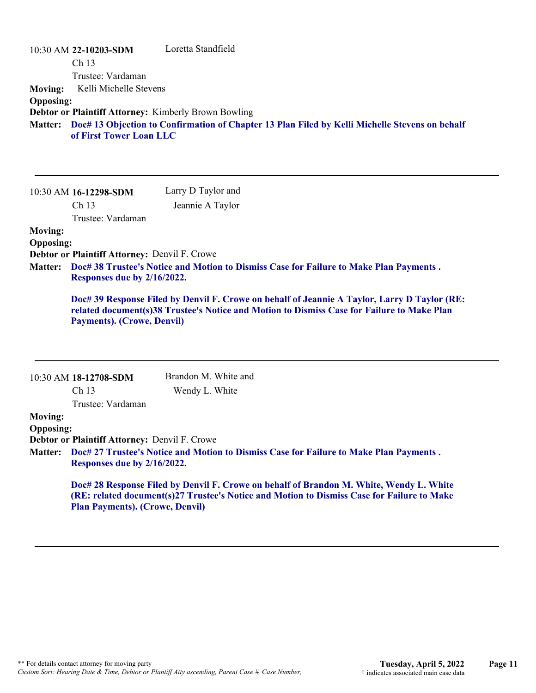|                  | 10:30 AM 22-10203-SDM                                | Loretta Standfield                                                                                     |
|------------------|------------------------------------------------------|--------------------------------------------------------------------------------------------------------|
|                  | Ch <sub>13</sub>                                     |                                                                                                        |
|                  | Trustee: Vardaman                                    |                                                                                                        |
| <b>Moving:</b>   | Kelli Michelle Stevens                               |                                                                                                        |
| <b>Opposing:</b> |                                                      |                                                                                                        |
|                  | Debtor or Plaintiff Attorney: Kimberly Brown Bowling |                                                                                                        |
|                  | of First Tower Loan LLC                              | Matter: Doc# 13 Objection to Confirmation of Chapter 13 Plan Filed by Kelli Michelle Stevens on behalf |

| 10:30 AM 16-12298-SDM | Larry D Taylor and |
|-----------------------|--------------------|
| Ch <sub>13</sub>      | Jeannie A Taylor   |
| Trustee: Vardaman     |                    |
| <b>Moving:</b>        |                    |

## **Opposing:**

**Debtor or Plaintiff Attorney:** Denvil F. Crowe

**Doc# 38 Trustee's Notice and Motion to Dismiss Case for Failure to Make Plan Payments . Matter: Responses due by 2/16/2022.**

**Doc# 39 Response Filed by Denvil F. Crowe on behalf of Jeannie A Taylor, Larry D Taylor (RE: related document(s)38 Trustee's Notice and Motion to Dismiss Case for Failure to Make Plan Payments). (Crowe, Denvil)**

|                  | 10:30 AM 18-12708-SDM                                                                                                                                                                 | Brandon M. White and |  |
|------------------|---------------------------------------------------------------------------------------------------------------------------------------------------------------------------------------|----------------------|--|
|                  | Ch <sub>13</sub>                                                                                                                                                                      | Wendy L. White       |  |
|                  | Trustee: Vardaman                                                                                                                                                                     |                      |  |
| <b>Moving:</b>   |                                                                                                                                                                                       |                      |  |
| <b>Opposing:</b> |                                                                                                                                                                                       |                      |  |
|                  | Debtor or Plaintiff Attorney: Denvil F. Crowe                                                                                                                                         |                      |  |
|                  | Matter: Doc# 27 Trustee's Notice and Motion to Dismiss Case for Failure to Make Plan Payments.<br>Responses due by 2/16/2022.                                                         |                      |  |
|                  | Doc# 28 Response Filed by Denvil F. Crowe on behalf of Brandon M. White, Wendy L. White<br>(RE: related document(s)27 Trustee's Notice and Motion to Dismiss Case for Failure to Make |                      |  |
|                  | <b>Plan Payments). (Crowe, Denvil)</b>                                                                                                                                                |                      |  |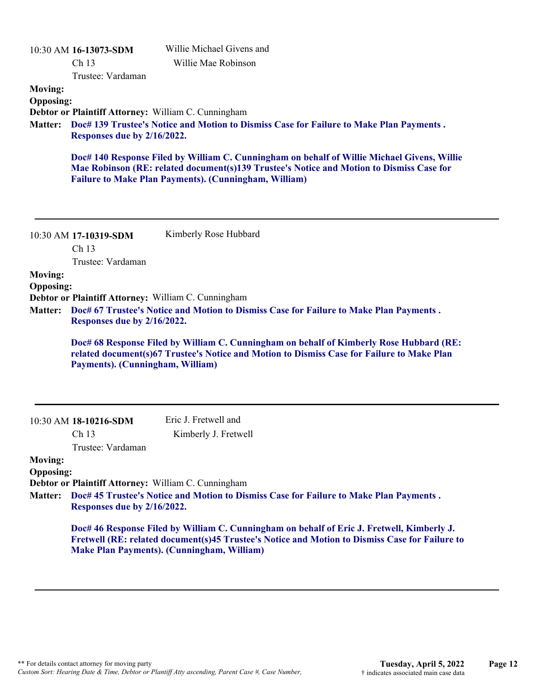| <b>Moving:</b><br><b>Opposing:</b><br><b>Matter:</b>                                                                                                                                           | 10:30 AM 16-13073-SDM<br>Ch 13<br>Trustee: Vardaman<br>Debtor or Plaintiff Attorney: William C. Cunningham<br>Responses due by 2/16/2022. | Willie Michael Givens and<br>Willie Mae Robinson<br>Doc# 139 Trustee's Notice and Motion to Dismiss Case for Failure to Make Plan Payments.<br>Doc# 140 Response Filed by William C. Cunningham on behalf of Willie Michael Givens, Willie<br>Mae Robinson (RE: related document(s)139 Trustee's Notice and Motion to Dismiss Case for<br><b>Failure to Make Plan Payments). (Cunningham, William)</b> |
|------------------------------------------------------------------------------------------------------------------------------------------------------------------------------------------------|-------------------------------------------------------------------------------------------------------------------------------------------|--------------------------------------------------------------------------------------------------------------------------------------------------------------------------------------------------------------------------------------------------------------------------------------------------------------------------------------------------------------------------------------------------------|
|                                                                                                                                                                                                | 10:30 AM 17-10319-SDM<br>Ch 13                                                                                                            | Kimberly Rose Hubbard                                                                                                                                                                                                                                                                                                                                                                                  |
| <b>Moving:</b>                                                                                                                                                                                 | Trustee: Vardaman                                                                                                                         |                                                                                                                                                                                                                                                                                                                                                                                                        |
| <b>Opposing:</b>                                                                                                                                                                               |                                                                                                                                           |                                                                                                                                                                                                                                                                                                                                                                                                        |
| Debtor or Plaintiff Attorney: William C. Cunningham<br>Doc# 67 Trustee's Notice and Motion to Dismiss Case for Failure to Make Plan Payments.<br><b>Matter:</b><br>Responses due by 2/16/2022. |                                                                                                                                           |                                                                                                                                                                                                                                                                                                                                                                                                        |
|                                                                                                                                                                                                | Payments). (Cunningham, William)                                                                                                          | Doc# 68 Response Filed by William C. Cunningham on behalf of Kimberly Rose Hubbard (RE:<br>related document(s)67 Trustee's Notice and Motion to Dismiss Case for Failure to Make Plan                                                                                                                                                                                                                  |
|                                                                                                                                                                                                | 10:30 AM 18-10216-SDM                                                                                                                     | Eric J. Fretwell and                                                                                                                                                                                                                                                                                                                                                                                   |
|                                                                                                                                                                                                | Ch 13                                                                                                                                     | Kimberly J. Fretwell                                                                                                                                                                                                                                                                                                                                                                                   |
| <b>Moving:</b><br><b>Opposing:</b>                                                                                                                                                             | Trustee: Vardaman                                                                                                                         |                                                                                                                                                                                                                                                                                                                                                                                                        |
| <b>Matter:</b>                                                                                                                                                                                 | Debtor or Plaintiff Attorney: William C. Cunningham<br>Responses due by 2/16/2022.                                                        | Doc# 45 Trustee's Notice and Motion to Dismiss Case for Failure to Make Plan Payments.                                                                                                                                                                                                                                                                                                                 |
|                                                                                                                                                                                                |                                                                                                                                           | Doc# 46 Response Filed by William C. Cunningham on behalf of Eric J. Fretwell, Kimberly J.<br>Fretwell (RE: related document(s)45 Trustee's Notice and Motion to Dismiss Case for Failure to<br><b>Make Plan Payments). (Cunningham, William)</b>                                                                                                                                                      |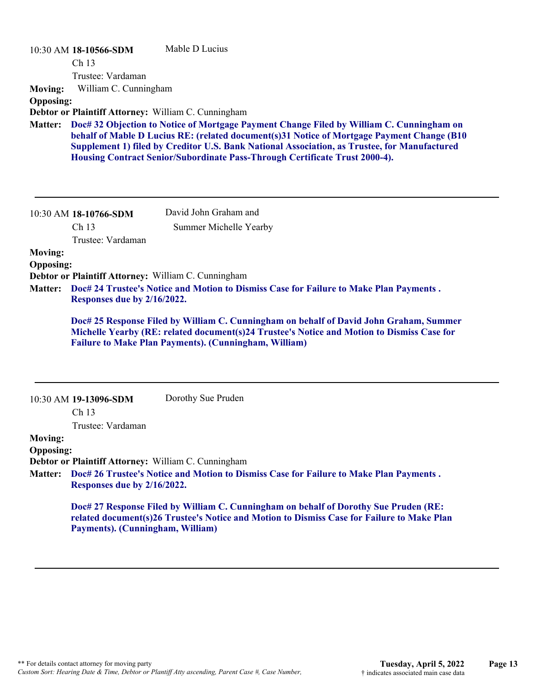|                  | 10:30 AM 18-10566-SDM                               | Mable D Lucius                                                                                                                                                                                                                                                                                                                                                        |
|------------------|-----------------------------------------------------|-----------------------------------------------------------------------------------------------------------------------------------------------------------------------------------------------------------------------------------------------------------------------------------------------------------------------------------------------------------------------|
|                  | Ch 13                                               |                                                                                                                                                                                                                                                                                                                                                                       |
|                  | Trustee: Vardaman                                   |                                                                                                                                                                                                                                                                                                                                                                       |
| <b>Moving:</b>   | William C. Cunningham                               |                                                                                                                                                                                                                                                                                                                                                                       |
| <b>Opposing:</b> |                                                     |                                                                                                                                                                                                                                                                                                                                                                       |
|                  | Debtor or Plaintiff Attorney: William C. Cunningham |                                                                                                                                                                                                                                                                                                                                                                       |
| <b>Matter:</b>   |                                                     | Doc# 32 Objection to Notice of Mortgage Payment Change Filed by William C. Cunningham on<br>behalf of Mable D Lucius RE: (related document(s)31 Notice of Mortgage Payment Change (B10<br>Supplement 1) filed by Creditor U.S. Bank National Association, as Trustee, for Manufactured<br>Housing Contract Senior/Subordinate Pass-Through Certificate Trust 2000-4). |
|                  | 10:30 AM 18-10766-SDM                               | David John Graham and                                                                                                                                                                                                                                                                                                                                                 |
|                  | Ch <sub>13</sub><br>Trustee: Vardaman               | Summer Michelle Yearby                                                                                                                                                                                                                                                                                                                                                |
| <b>Moving:</b>   |                                                     |                                                                                                                                                                                                                                                                                                                                                                       |
| <b>Opposing:</b> |                                                     |                                                                                                                                                                                                                                                                                                                                                                       |
|                  | Debtor or Plaintiff Attorney: William C. Cunningham |                                                                                                                                                                                                                                                                                                                                                                       |
| <b>Matter:</b>   | Responses due by 2/16/2022.                         | Doc# 24 Trustee's Notice and Motion to Dismiss Case for Failure to Make Plan Payments.                                                                                                                                                                                                                                                                                |
|                  |                                                     | Doc# 25 Response Filed by William C. Cunningham on behalf of David John Graham, Summer<br>Michelle Yearby (RE: related document(s)24 Trustee's Notice and Motion to Dismiss Case for<br><b>Failure to Make Plan Payments). (Cunningham, William)</b>                                                                                                                  |
|                  |                                                     |                                                                                                                                                                                                                                                                                                                                                                       |

|                  | 10:30 AM 19-13096-SDM                               | Dorothy Sue Pruden                                                                                                                                                                 |
|------------------|-----------------------------------------------------|------------------------------------------------------------------------------------------------------------------------------------------------------------------------------------|
|                  | Ch <sub>13</sub>                                    |                                                                                                                                                                                    |
|                  | Trustee: Vardaman                                   |                                                                                                                                                                                    |
| <b>Moving:</b>   |                                                     |                                                                                                                                                                                    |
| <b>Opposing:</b> |                                                     |                                                                                                                                                                                    |
|                  | Debtor or Plaintiff Attorney: William C. Cunningham |                                                                                                                                                                                    |
|                  | Responses due by 2/16/2022.                         | Matter: Doc# 26 Trustee's Notice and Motion to Dismiss Case for Failure to Make Plan Payments.                                                                                     |
|                  | Payments). (Cunningham, William)                    | Doc# 27 Response Filed by William C. Cunningham on behalf of Dorothy Sue Pruden (RE:<br>related document(s)26 Trustee's Notice and Motion to Dismiss Case for Failure to Make Plan |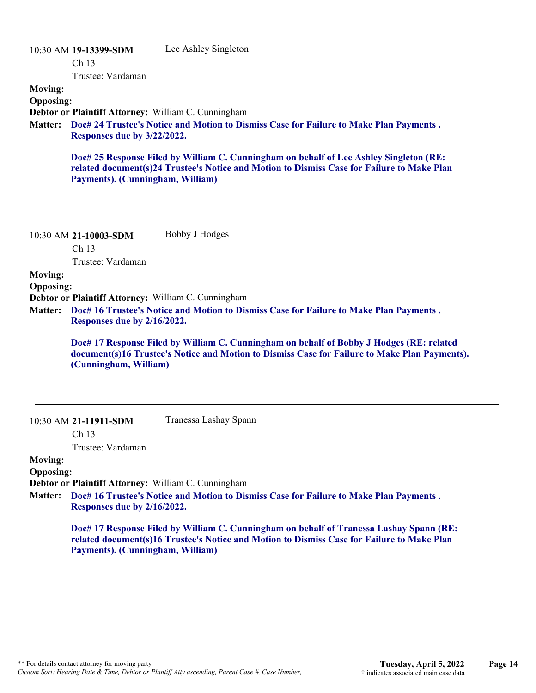| <b>Moving:</b><br><b>Opposing:</b><br><b>Matter:</b> | 10:30 AM 19-13399-SDM<br>Ch <sub>13</sub><br>Trustee: Vardaman<br>Debtor or Plaintiff Attorney: William C. Cunningham<br>Responses due by 3/22/2022.<br>Payments). (Cunningham, William) | Lee Ashley Singleton<br>Doc# 24 Trustee's Notice and Motion to Dismiss Case for Failure to Make Plan Payments.<br>Doc# 25 Response Filed by William C. Cunningham on behalf of Lee Ashley Singleton (RE:<br>related document(s)24 Trustee's Notice and Motion to Dismiss Case for Failure to Make Plan |
|------------------------------------------------------|------------------------------------------------------------------------------------------------------------------------------------------------------------------------------------------|--------------------------------------------------------------------------------------------------------------------------------------------------------------------------------------------------------------------------------------------------------------------------------------------------------|
| <b>Moving:</b><br><b>Opposing:</b><br><b>Matter:</b> | 10:30 AM 21-10003-SDM<br>Ch <sub>13</sub><br>Trustee: Vardaman<br>Debtor or Plaintiff Attorney: William C. Cunningham<br>Responses due by 2/16/2022.<br>(Cunningham, William)            | Bobby J Hodges<br>Doc# 16 Trustee's Notice and Motion to Dismiss Case for Failure to Make Plan Payments.<br>Doc# 17 Response Filed by William C. Cunningham on behalf of Bobby J Hodges (RE: related<br>document(s)16 Trustee's Notice and Motion to Dismiss Case for Failure to Make Plan Payments).  |
| <b>Moving:</b><br><b>Opposing:</b><br>Matter:        | 10:30 AM 21-11911-SDM<br>Ch <sub>13</sub><br>Trustee: Vardaman<br>Debtor or Plaintiff Attorney: William C. Cunningham<br>Responses due by 2/16/2022.                                     | Tranessa Lashay Spann<br>Doc# 16 Trustee's Notice and Motion to Dismiss Case for Failure to Make Plan Payments.                                                                                                                                                                                        |

**Doc# 17 Response Filed by William C. Cunningham on behalf of Tranessa Lashay Spann (RE: related document(s)16 Trustee's Notice and Motion to Dismiss Case for Failure to Make Plan Payments). (Cunningham, William)**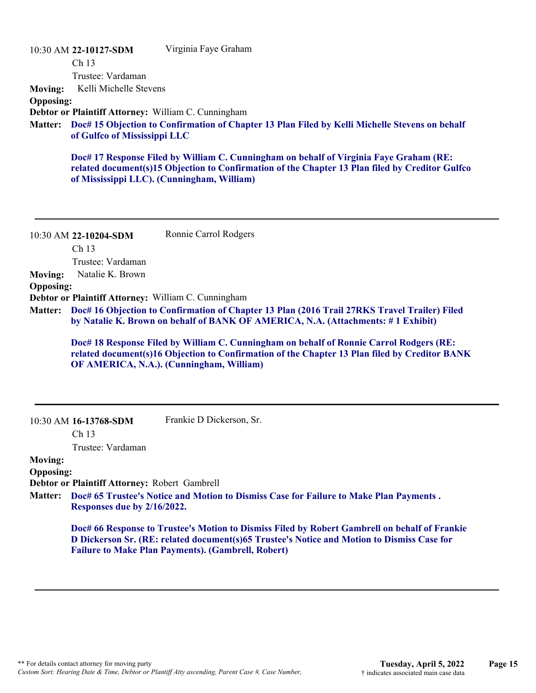|                  | 10:30 AM 22-10127-SDM        | Virginia Faye Graham                                                                                                                                                                                                                    |
|------------------|------------------------------|-----------------------------------------------------------------------------------------------------------------------------------------------------------------------------------------------------------------------------------------|
|                  | Ch <sub>13</sub>             |                                                                                                                                                                                                                                         |
|                  | Trustee: Vardaman            |                                                                                                                                                                                                                                         |
| <b>Moving:</b>   | Kelli Michelle Stevens       |                                                                                                                                                                                                                                         |
| <b>Opposing:</b> |                              |                                                                                                                                                                                                                                         |
|                  |                              | Debtor or Plaintiff Attorney: William C. Cunningham                                                                                                                                                                                     |
|                  | of Gulfco of Mississippi LLC | Matter: Doc# 15 Objection to Confirmation of Chapter 13 Plan Filed by Kelli Michelle Stevens on behalf                                                                                                                                  |
|                  |                              | Doc# 17 Response Filed by William C. Cunningham on behalf of Virginia Faye Graham (RE:<br>related document(s)15 Objection to Confirmation of the Chapter 13 Plan filed by Creditor Gulfco<br>of Mississippi LLC). (Cunningham, William) |

10:30 AM **22-10204-SDM**  Ch 13 Trustee: Vardaman Ronnie Carrol Rodgers **Moving:** Natalie K. Brown **Opposing: Debtor or Plaintiff Attorney:** William C. Cunningham **Doc# 16 Objection to Confirmation of Chapter 13 Plan (2016 Trail 27RKS Travel Trailer) Filed Matter: by Natalie K. Brown on behalf of BANK OF AMERICA, N.A. (Attachments: # 1 Exhibit) Doc# 18 Response Filed by William C. Cunningham on behalf of Ronnie Carrol Rodgers (RE:**

**related document(s)16 Objection to Confirmation of the Chapter 13 Plan filed by Creditor BANK OF AMERICA, N.A.). (Cunningham, William)**

10:30 AM **16-13768-SDM** 

Frankie D Dickerson, Sr.

Ch 13

Trustee: Vardaman

#### **Moving: Opposing:**

**Debtor or Plaintiff Attorney:** Robert Gambrell

**Doc# 65 Trustee's Notice and Motion to Dismiss Case for Failure to Make Plan Payments . Matter: Responses due by 2/16/2022.**

> **Doc# 66 Response to Trustee's Motion to Dismiss Filed by Robert Gambrell on behalf of Frankie D Dickerson Sr. (RE: related document(s)65 Trustee's Notice and Motion to Dismiss Case for Failure to Make Plan Payments). (Gambrell, Robert)**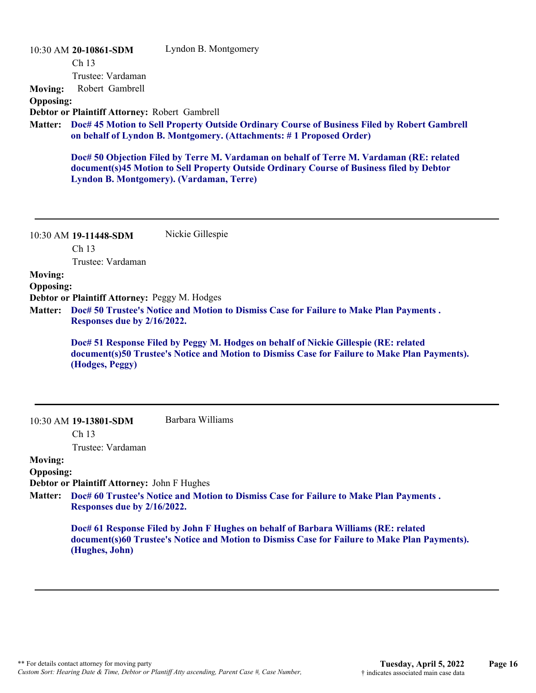|                                    | 10:30 AM 20-10861-SDM                         | Lyndon B. Montgomery                                                                                                                                                                                                              |
|------------------------------------|-----------------------------------------------|-----------------------------------------------------------------------------------------------------------------------------------------------------------------------------------------------------------------------------------|
|                                    | Ch 13                                         |                                                                                                                                                                                                                                   |
|                                    | Trustee: Vardaman                             |                                                                                                                                                                                                                                   |
| <b>Moving:</b>                     | Robert Gambrell                               |                                                                                                                                                                                                                                   |
| <b>Opposing:</b>                   |                                               |                                                                                                                                                                                                                                   |
|                                    | Debtor or Plaintiff Attorney: Robert Gambrell |                                                                                                                                                                                                                                   |
| <b>Matter:</b>                     |                                               | Doc# 45 Motion to Sell Property Outside Ordinary Course of Business Filed by Robert Gambrell<br>on behalf of Lyndon B. Montgomery. (Attachments: #1 Proposed Order)                                                               |
|                                    |                                               | Doc# 50 Objection Filed by Terre M. Vardaman on behalf of Terre M. Vardaman (RE: related<br>document(s)45 Motion to Sell Property Outside Ordinary Course of Business filed by Debtor<br>Lyndon B. Montgomery). (Vardaman, Terre) |
|                                    | 10:30 AM 19-11448-SDM<br>Ch <sub>13</sub>     | Nickie Gillespie                                                                                                                                                                                                                  |
|                                    | Trustee: Vardaman                             |                                                                                                                                                                                                                                   |
| <b>Moving:</b>                     |                                               |                                                                                                                                                                                                                                   |
| <b>Opposing:</b>                   |                                               |                                                                                                                                                                                                                                   |
|                                    | Debtor or Plaintiff Attorney: Peggy M. Hodges |                                                                                                                                                                                                                                   |
| <b>Matter:</b>                     | Responses due by 2/16/2022.                   | Doc# 50 Trustee's Notice and Motion to Dismiss Case for Failure to Make Plan Payments.                                                                                                                                            |
|                                    | (Hodges, Peggy)                               | Doc# 51 Response Filed by Peggy M. Hodges on behalf of Nickie Gillespie (RE: related<br>document(s)50 Trustee's Notice and Motion to Dismiss Case for Failure to Make Plan Payments).                                             |
|                                    | 10:30 AM 19-13801-SDM                         | Barbara Williams                                                                                                                                                                                                                  |
|                                    | Ch <sub>13</sub>                              |                                                                                                                                                                                                                                   |
|                                    | Trustee: Vardaman                             |                                                                                                                                                                                                                                   |
| <b>Moving:</b><br><b>Opposing:</b> | Debtor or Plaintiff Attorney: John F Hughes   |                                                                                                                                                                                                                                   |
| <b>Matter:</b>                     | Responses due by 2/16/2022.                   | Doc# 60 Trustee's Notice and Motion to Dismiss Case for Failure to Make Plan Payments.                                                                                                                                            |
|                                    | (Hughes, John)                                | Doc# 61 Response Filed by John F Hughes on behalf of Barbara Williams (RE: related<br>document(s)60 Trustee's Notice and Motion to Dismiss Case for Failure to Make Plan Payments).                                               |
|                                    |                                               |                                                                                                                                                                                                                                   |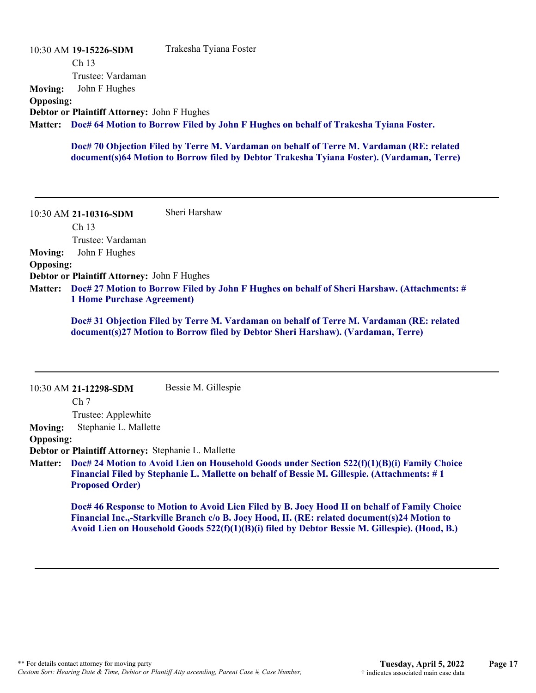|                  | 10:30 AM 19-15226-SDM                              | Trakesha Tyiana Foster                                                                       |
|------------------|----------------------------------------------------|----------------------------------------------------------------------------------------------|
|                  | Ch <sub>13</sub>                                   |                                                                                              |
|                  | Trustee: Vardaman                                  |                                                                                              |
| Moving:          | John F Hughes                                      |                                                                                              |
| <b>Opposing:</b> |                                                    |                                                                                              |
|                  | <b>Debtor or Plaintiff Attorney: John F Hughes</b> |                                                                                              |
|                  |                                                    | Matter: Doc# 64 Motion to Borrow Filed by John F Hughes on behalf of Trakesha Tyiana Foster. |
|                  |                                                    |                                                                                              |

**Doc# 70 Objection Filed by Terre M. Vardaman on behalf of Terre M. Vardaman (RE: related document(s)64 Motion to Borrow filed by Debtor Trakesha Tyiana Foster). (Vardaman, Terre)**

10:30 AM **21-10316-SDM**  Ch 13 Trustee: Vardaman Sheri Harshaw **Moving:** John F Hughes **Opposing: Debtor or Plaintiff Attorney:** John F Hughes **Doc# 27 Motion to Borrow Filed by John F Hughes on behalf of Sheri Harshaw. (Attachments: # Matter: 1 Home Purchase Agreement)**

> **Doc# 31 Objection Filed by Terre M. Vardaman on behalf of Terre M. Vardaman (RE: related document(s)27 Motion to Borrow filed by Debtor Sheri Harshaw). (Vardaman, Terre)**

|                  | 10:30 AM 21-12298-SDM                               | Bessie M. Gillespie                                                                                |
|------------------|-----------------------------------------------------|----------------------------------------------------------------------------------------------------|
|                  | Ch <sub>7</sub>                                     |                                                                                                    |
|                  | Trustee: Applewhite                                 |                                                                                                    |
| <b>Moving:</b>   | Stephanie L. Mallette                               |                                                                                                    |
| <b>Opposing:</b> |                                                     |                                                                                                    |
|                  | Debtor or Plaintiff Attorney: Stephanie L. Mallette |                                                                                                    |
| <b>Matter:</b>   |                                                     | Doc# 24 Motion to Avoid Lien on Household Goods under Section 522(f)(1)(B)(i) Family Choice        |
|                  |                                                     | <b>Financial Filed by Stephanie L. Mallette on behalf of Bessie M. Gillespie. (Attachments: #1</b> |
|                  | <b>Proposed Order)</b>                              |                                                                                                    |
|                  |                                                     | Doc# 46 Response to Motion to Avoid Lien Filed by B. Joey Hood II on behalf of Family Choice       |
|                  |                                                     | Financial Inc.,-Starkville Branch c/o B. Joey Hood, II. (RE: related document(s)24 Motion to       |

**Avoid Lien on Household Goods 522(f)(1)(B)(i) filed by Debtor Bessie M. Gillespie). (Hood, B.)**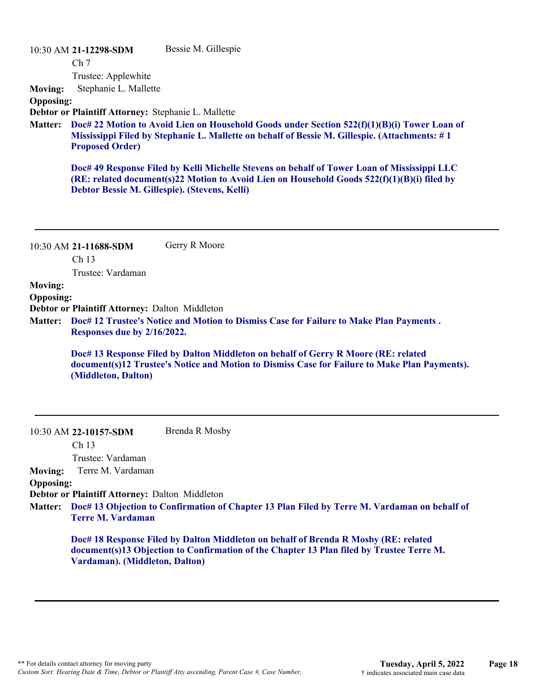10:30 AM **21-12298-SDM**  Bessie M. Gillespie

Ch 7

Trustee: Applewhite **Moving:** Stephanie L. Mallette

**Opposing:**

**Debtor or Plaintiff Attorney:** Stephanie L. Mallette

**Doc# 22 Motion to Avoid Lien on Household Goods under Section 522(f)(1)(B)(i) Tower Loan of Matter: Mississippi Filed by Stephanie L. Mallette on behalf of Bessie M. Gillespie. (Attachments: # 1 Proposed Order)**

**Doc# 49 Response Filed by Kelli Michelle Stevens on behalf of Tower Loan of Mississippi LLC (RE: related document(s)22 Motion to Avoid Lien on Household Goods 522(f)(1)(B)(i) filed by Debtor Bessie M. Gillespie). (Stevens, Kelli)**

10:30 AM **21-11688-SDM**  Ch 13 Trustee: Vardaman Gerry R Moore

**Moving:**

**Opposing:**

**Debtor or Plaintiff Attorney:** Dalton Middleton

**Doc# 12 Trustee's Notice and Motion to Dismiss Case for Failure to Make Plan Payments . Matter: Responses due by 2/16/2022.**

> **Doc# 13 Response Filed by Dalton Middleton on behalf of Gerry R Moore (RE: related document(s)12 Trustee's Notice and Motion to Dismiss Case for Failure to Make Plan Payments). (Middleton, Dalton)**

| 10:30 AM 22-10157-SDM | Brenda R Mosby |
|-----------------------|----------------|
|-----------------------|----------------|

Ch 13 Trustee: Vardaman

**Moving:** Terre M. Vardaman

#### **Opposing:**

**Debtor or Plaintiff Attorney:** Dalton Middleton

**Doc# 13 Objection to Confirmation of Chapter 13 Plan Filed by Terre M. Vardaman on behalf of Matter: Terre M. Vardaman**

**Doc# 18 Response Filed by Dalton Middleton on behalf of Brenda R Mosby (RE: related document(s)13 Objection to Confirmation of the Chapter 13 Plan filed by Trustee Terre M. Vardaman). (Middleton, Dalton)**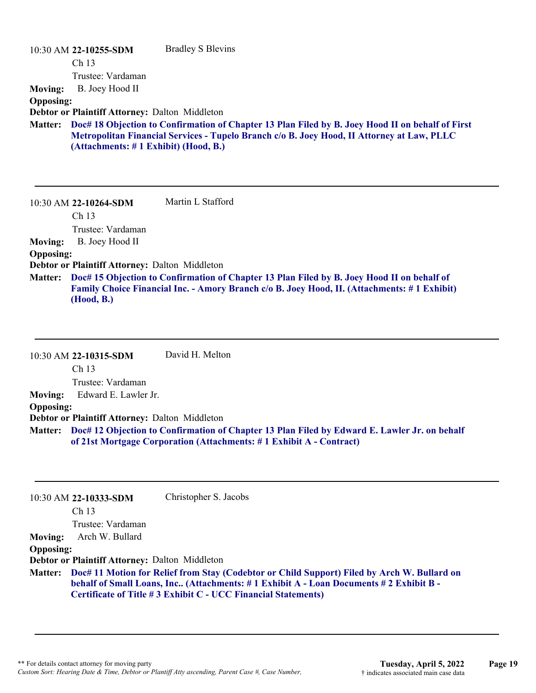|                  | 10:30 AM 22-10255-SDM                          | <b>Bradley S Blevins</b>                                                                                                                                                                       |
|------------------|------------------------------------------------|------------------------------------------------------------------------------------------------------------------------------------------------------------------------------------------------|
|                  | Ch <sub>13</sub>                               |                                                                                                                                                                                                |
|                  | Trustee: Vardaman                              |                                                                                                                                                                                                |
| <b>Moving:</b>   | B. Joey Hood II                                |                                                                                                                                                                                                |
| <b>Opposing:</b> |                                                |                                                                                                                                                                                                |
|                  | Debtor or Plaintiff Attorney: Dalton Middleton |                                                                                                                                                                                                |
| <b>Matter:</b>   | (Attachments: #1 Exhibit) (Hood, B.)           | Doc# 18 Objection to Confirmation of Chapter 13 Plan Filed by B. Joey Hood II on behalf of First<br>Metropolitan Financial Services - Tupelo Branch c/o B. Joey Hood, II Attorney at Law, PLLC |
|                  | 10:30 AM 22-10264-SDM                          | Martin L Stafford                                                                                                                                                                              |
|                  | Ch <sub>13</sub>                               |                                                                                                                                                                                                |
|                  | Trustee: Vardaman                              |                                                                                                                                                                                                |
| <b>Moving:</b>   | B. Joey Hood II                                |                                                                                                                                                                                                |
| <b>Opposing:</b> |                                                |                                                                                                                                                                                                |
|                  | Debtor or Plaintiff Attorney: Dalton Middleton |                                                                                                                                                                                                |
| <b>Matter:</b>   |                                                | Doc# 15 Objection to Confirmation of Chapter 13 Plan Filed by B. Joey Hood II on behalf of<br>Family Choice Financial Inc. - Amory Branch c/o B. Joey Hood, II. (Attachments: #1 Exhibit)      |

**(Hood, B.)**

|                  | 10:30 AM 22-10315-SDM                          | David H. Melton                                                                                                                                                             |
|------------------|------------------------------------------------|-----------------------------------------------------------------------------------------------------------------------------------------------------------------------------|
|                  | Ch <sub>13</sub>                               |                                                                                                                                                                             |
|                  | Trustee: Vardaman                              |                                                                                                                                                                             |
| <b>Moving:</b>   | Edward E. Lawler Jr.                           |                                                                                                                                                                             |
| <b>Opposing:</b> |                                                |                                                                                                                                                                             |
|                  | Debtor or Plaintiff Attorney: Dalton Middleton |                                                                                                                                                                             |
|                  |                                                | Matter: Doc# 12 Objection to Confirmation of Chapter 13 Plan Filed by Edward E. Lawler Jr. on behalf<br>of 21st Mortgage Corporation (Attachments: #1 Exhibit A - Contract) |

|                  | 10:30 AM 22-10333-SDM                          | Christopher S. Jacobs                                                                                                                                                                                                                                           |
|------------------|------------------------------------------------|-----------------------------------------------------------------------------------------------------------------------------------------------------------------------------------------------------------------------------------------------------------------|
|                  | Ch <sub>13</sub>                               |                                                                                                                                                                                                                                                                 |
|                  | Trustee: Vardaman                              |                                                                                                                                                                                                                                                                 |
| <b>Moving:</b>   | Arch W. Bullard                                |                                                                                                                                                                                                                                                                 |
| <b>Opposing:</b> |                                                |                                                                                                                                                                                                                                                                 |
|                  | Debtor or Plaintiff Attorney: Dalton Middleton |                                                                                                                                                                                                                                                                 |
|                  |                                                | Matter: Doc# 11 Motion for Relief from Stay (Codebtor or Child Support) Filed by Arch W. Bullard on<br>behalf of Small Loans, Inc., (Attachments: #1 Exhibit A - Loan Documents #2 Exhibit B -<br>Certificate of Title #3 Exhibit C - UCC Financial Statements) |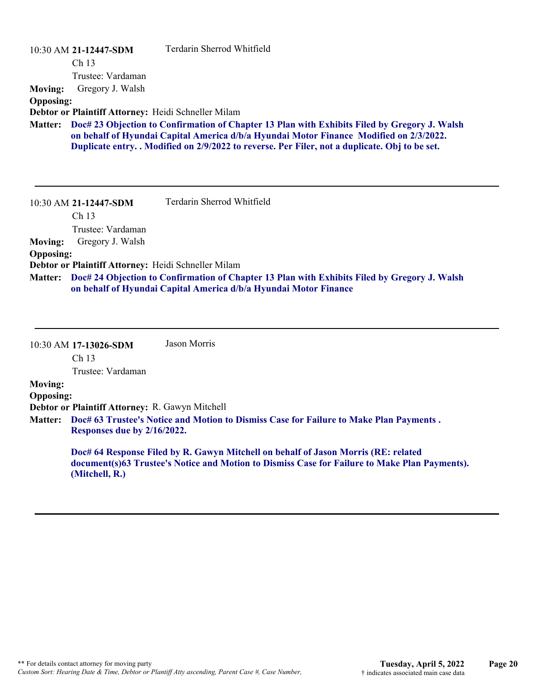|                  | 10:30 AM 21-12447-SDM                               | Terdarin Sherrod Whitfield                                                                                                                                                                                                                                                               |
|------------------|-----------------------------------------------------|------------------------------------------------------------------------------------------------------------------------------------------------------------------------------------------------------------------------------------------------------------------------------------------|
|                  | Ch 13                                               |                                                                                                                                                                                                                                                                                          |
|                  | Trustee: Vardaman                                   |                                                                                                                                                                                                                                                                                          |
| <b>Moving:</b>   | Gregory J. Walsh                                    |                                                                                                                                                                                                                                                                                          |
| <b>Opposing:</b> |                                                     |                                                                                                                                                                                                                                                                                          |
|                  | Debtor or Plaintiff Attorney: Heidi Schneller Milam |                                                                                                                                                                                                                                                                                          |
| <b>Matter:</b>   |                                                     | Doc# 23 Objection to Confirmation of Chapter 13 Plan with Exhibits Filed by Gregory J. Walsh<br>on behalf of Hyundai Capital America d/b/a Hyundai Motor Finance Modified on 2/3/2022.<br>Duplicate entry. . Modified on 2/9/2022 to reverse. Per Filer, not a duplicate. Obj to be set. |
|                  | 10:30 AM 21-12447-SDM                               | Terdarin Sherrod Whitfield                                                                                                                                                                                                                                                               |
|                  | Ch <sub>13</sub>                                    |                                                                                                                                                                                                                                                                                          |
|                  | Trustee: Vardaman                                   |                                                                                                                                                                                                                                                                                          |
| <b>Moving:</b>   | Gregory J. Walsh                                    |                                                                                                                                                                                                                                                                                          |
| <b>Opposing:</b> |                                                     |                                                                                                                                                                                                                                                                                          |
|                  | Debtor or Plaintiff Attorney: Heidi Schneller Milam |                                                                                                                                                                                                                                                                                          |
| <b>Matter:</b>   |                                                     | Doc# 24 Objection to Confirmation of Chapter 13 Plan with Exhibits Filed by Gregory J. Walsh<br>on behalf of Hyundai Capital America d/b/a Hyundai Motor Finance                                                                                                                         |

Ch 13 Trustee: Vardaman **Moving: Opposing: Debtor or Plaintiff Attorney:** R. Gawyn Mitchell **Doc# 63 Trustee's Notice and Motion to Dismiss Case for Failure to Make Plan Payments . Matter: Responses due by 2/16/2022.**

Jason Morris

**Doc# 64 Response Filed by R. Gawyn Mitchell on behalf of Jason Morris (RE: related document(s)63 Trustee's Notice and Motion to Dismiss Case for Failure to Make Plan Payments). (Mitchell, R.)**

10:30 AM **17-13026-SDM**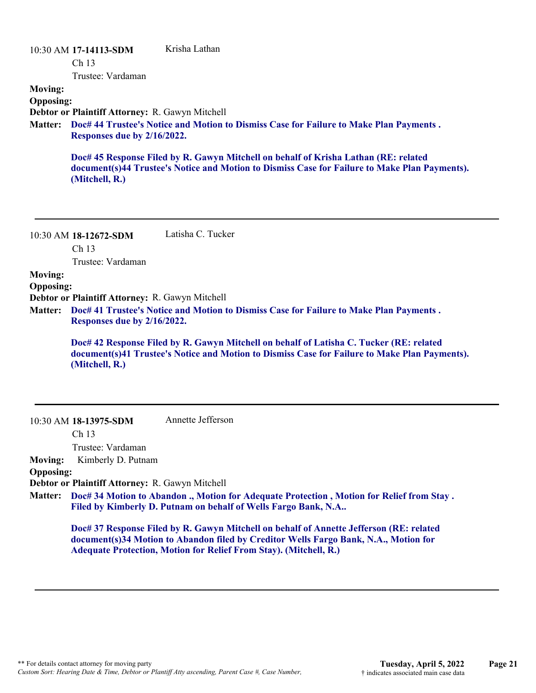#### 10:30 AM **17-14113-SDM**  Ch 13 Trustee: Vardaman Krisha Lathan **Moving: Opposing: Debtor or Plaintiff Attorney:** R. Gawyn Mitchell **Doc# 44 Trustee's Notice and Motion to Dismiss Case for Failure to Make Plan Payments . Matter: Responses due by 2/16/2022. Doc# 45 Response Filed by R. Gawyn Mitchell on behalf of Krisha Lathan (RE: related document(s)44 Trustee's Notice and Motion to Dismiss Case for Failure to Make Plan Payments). (Mitchell, R.)**

10:30 AM **18-12672-SDM**  Ch 13 Trustee: Vardaman Latisha C. Tucker

**Moving:**

**Opposing:**

**Debtor or Plaintiff Attorney:** R. Gawyn Mitchell

**Doc# 41 Trustee's Notice and Motion to Dismiss Case for Failure to Make Plan Payments . Matter: Responses due by 2/16/2022.**

> **Doc# 42 Response Filed by R. Gawyn Mitchell on behalf of Latisha C. Tucker (RE: related document(s)41 Trustee's Notice and Motion to Dismiss Case for Failure to Make Plan Payments). (Mitchell, R.)**

10:30 AM **18-13975-SDM**  Annette Jefferson

Ch 13

Trustee: Vardaman

**Moving:** Kimberly D. Putnam

#### **Opposing:**

**Debtor or Plaintiff Attorney:** R. Gawyn Mitchell

**Doc# 34 Motion to Abandon ., Motion for Adequate Protection , Motion for Relief from Stay . Matter: Filed by Kimberly D. Putnam on behalf of Wells Fargo Bank, N.A..**

**Doc# 37 Response Filed by R. Gawyn Mitchell on behalf of Annette Jefferson (RE: related document(s)34 Motion to Abandon filed by Creditor Wells Fargo Bank, N.A., Motion for Adequate Protection, Motion for Relief From Stay). (Mitchell, R.)**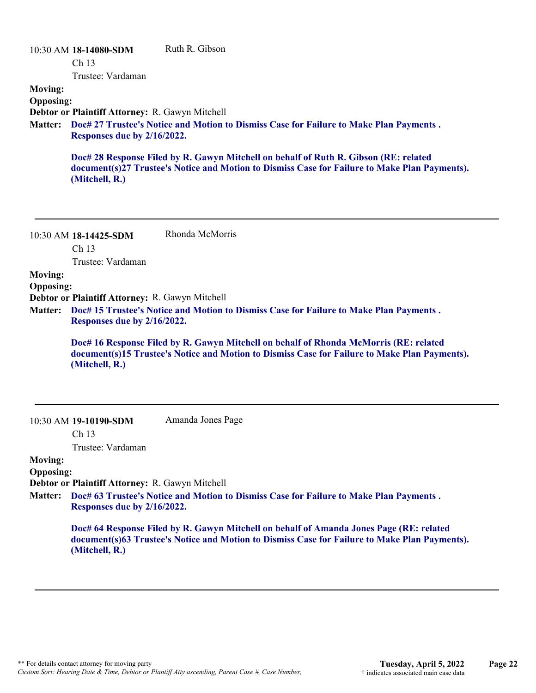|                  | 10:30 AM 18-14080-SDM                           | Ruth R. Gibson                                                                                                                                                                        |
|------------------|-------------------------------------------------|---------------------------------------------------------------------------------------------------------------------------------------------------------------------------------------|
|                  | Ch <sub>13</sub>                                |                                                                                                                                                                                       |
|                  | Trustee: Vardaman                               |                                                                                                                                                                                       |
| <b>Moving:</b>   |                                                 |                                                                                                                                                                                       |
| <b>Opposing:</b> |                                                 |                                                                                                                                                                                       |
|                  | Debtor or Plaintiff Attorney: R. Gawyn Mitchell |                                                                                                                                                                                       |
| <b>Matter:</b>   |                                                 | Doc# 27 Trustee's Notice and Motion to Dismiss Case for Failure to Make Plan Payments.                                                                                                |
|                  | Responses due by 2/16/2022.                     |                                                                                                                                                                                       |
|                  | (Mitchell, R.)                                  | Doc# 28 Response Filed by R. Gawyn Mitchell on behalf of Ruth R. Gibson (RE: related<br>document(s)27 Trustee's Notice and Motion to Dismiss Case for Failure to Make Plan Payments). |
|                  |                                                 |                                                                                                                                                                                       |

| $10:30$ AM $18-14425-SDM$ | Rhonda McMorris |
|---------------------------|-----------------|
| Ch <sub>13</sub>          |                 |
| Trustee: Vardaman         |                 |

**Moving:**

**Opposing:**

**Debtor or Plaintiff Attorney:** R. Gawyn Mitchell

**Doc# 15 Trustee's Notice and Motion to Dismiss Case for Failure to Make Plan Payments . Matter: Responses due by 2/16/2022.**

> **Doc# 16 Response Filed by R. Gawyn Mitchell on behalf of Rhonda McMorris (RE: related document(s)15 Trustee's Notice and Motion to Dismiss Case for Failure to Make Plan Payments). (Mitchell, R.)**

10:30 AM **19-10190-SDM** 

Amanda Jones Page

Ch 13

Trustee: Vardaman

#### **Moving: Opposing:**

**Debtor or Plaintiff Attorney:** R. Gawyn Mitchell

**Doc# 63 Trustee's Notice and Motion to Dismiss Case for Failure to Make Plan Payments . Matter: Responses due by 2/16/2022.**

> **Doc# 64 Response Filed by R. Gawyn Mitchell on behalf of Amanda Jones Page (RE: related document(s)63 Trustee's Notice and Motion to Dismiss Case for Failure to Make Plan Payments). (Mitchell, R.)**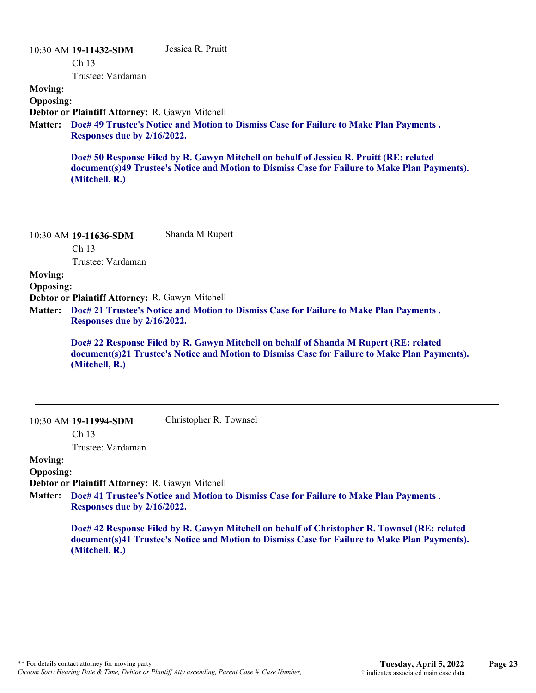|                  | 10:30 AM 19-11432-SDM                           | Jessica R. Pruitt                                                                                                                                                                        |
|------------------|-------------------------------------------------|------------------------------------------------------------------------------------------------------------------------------------------------------------------------------------------|
|                  | Ch <sub>13</sub>                                |                                                                                                                                                                                          |
|                  | Trustee: Vardaman                               |                                                                                                                                                                                          |
| <b>Moving:</b>   |                                                 |                                                                                                                                                                                          |
| <b>Opposing:</b> |                                                 |                                                                                                                                                                                          |
|                  | Debtor or Plaintiff Attorney: R. Gawyn Mitchell |                                                                                                                                                                                          |
| <b>Matter:</b>   |                                                 | Doc# 49 Trustee's Notice and Motion to Dismiss Case for Failure to Make Plan Payments.                                                                                                   |
|                  | Responses due by 2/16/2022.                     |                                                                                                                                                                                          |
|                  | (Mitchell, R.)                                  | Doc# 50 Response Filed by R. Gawyn Mitchell on behalf of Jessica R. Pruitt (RE: related<br>document(s)49 Trustee's Notice and Motion to Dismiss Case for Failure to Make Plan Payments). |
|                  |                                                 |                                                                                                                                                                                          |

| 10:30 AM 19-11636-SDM | Shanda M Rupert |
|-----------------------|-----------------|
| Ch <sub>13</sub>      |                 |
| Trustee: Vardaman     |                 |

**Moving:**

**Opposing:**

**Debtor or Plaintiff Attorney:** R. Gawyn Mitchell

**Doc# 21 Trustee's Notice and Motion to Dismiss Case for Failure to Make Plan Payments . Matter: Responses due by 2/16/2022.**

> **Doc# 22 Response Filed by R. Gawyn Mitchell on behalf of Shanda M Rupert (RE: related document(s)21 Trustee's Notice and Motion to Dismiss Case for Failure to Make Plan Payments). (Mitchell, R.)**

Christopher R. Townsel

Ch 13

Trustee: Vardaman

#### **Moving: Opposing:**

**Debtor or Plaintiff Attorney:** R. Gawyn Mitchell

**Doc# 41 Trustee's Notice and Motion to Dismiss Case for Failure to Make Plan Payments . Matter: Responses due by 2/16/2022.**

> **Doc# 42 Response Filed by R. Gawyn Mitchell on behalf of Christopher R. Townsel (RE: related document(s)41 Trustee's Notice and Motion to Dismiss Case for Failure to Make Plan Payments). (Mitchell, R.)**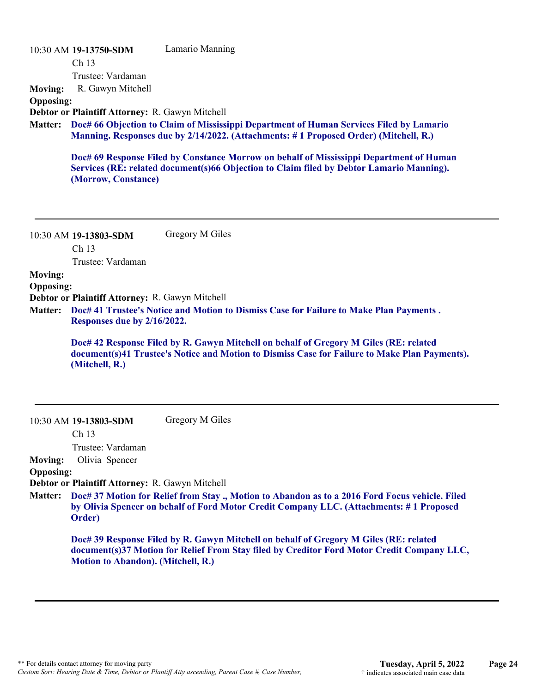|                  | 10:30 AM 19-13750-SDM                                  | Lamario Manning                                                                                                                                                                     |
|------------------|--------------------------------------------------------|-------------------------------------------------------------------------------------------------------------------------------------------------------------------------------------|
|                  | Ch <sub>13</sub>                                       |                                                                                                                                                                                     |
|                  | Trustee: Vardaman                                      |                                                                                                                                                                                     |
| <b>Moving:</b>   | R. Gawyn Mitchell                                      |                                                                                                                                                                                     |
| <b>Opposing:</b> |                                                        |                                                                                                                                                                                     |
|                  | <b>Debtor or Plaintiff Attorney: R. Gawyn Mitchell</b> |                                                                                                                                                                                     |
|                  |                                                        | Matter: Doc# 66 Objection to Claim of Mississippi Department of Human Services Filed by Lamario                                                                                     |
|                  |                                                        | Manning. Responses due by 2/14/2022. (Attachments: #1 Proposed Order) (Mitchell, R.)                                                                                                |
|                  |                                                        | Doc# 69 Response Filed by Constance Morrow on behalf of Mississippi Department of Human<br>Services (RE: related document(s)66 Objection to Claim filed by Debtor Lamario Manning). |

**(Morrow, Constance)**

| 10:30 AM 19-13803-SDM | Gregory M Giles |
|-----------------------|-----------------|
| Ch <sub>13</sub>      |                 |
| Trustee: Vardaman     |                 |

#### **Moving:**

**Opposing:**

**Debtor or Plaintiff Attorney:** R. Gawyn Mitchell

**Doc# 41 Trustee's Notice and Motion to Dismiss Case for Failure to Make Plan Payments . Matter: Responses due by 2/16/2022.**

**Doc# 42 Response Filed by R. Gawyn Mitchell on behalf of Gregory M Giles (RE: related document(s)41 Trustee's Notice and Motion to Dismiss Case for Failure to Make Plan Payments). (Mitchell, R.)**

10:30 AM **19-13803-SDM**  Gregory M Giles

Ch 13

Trustee: Vardaman

**Moving:** Olivia Spencer

#### **Opposing:**

**Debtor or Plaintiff Attorney:** R. Gawyn Mitchell

**Doc# 37 Motion for Relief from Stay ., Motion to Abandon as to a 2016 Ford Focus vehicle. Filed Matter: by Olivia Spencer on behalf of Ford Motor Credit Company LLC. (Attachments: # 1 Proposed Order)**

**Doc# 39 Response Filed by R. Gawyn Mitchell on behalf of Gregory M Giles (RE: related document(s)37 Motion for Relief From Stay filed by Creditor Ford Motor Credit Company LLC, Motion to Abandon). (Mitchell, R.)**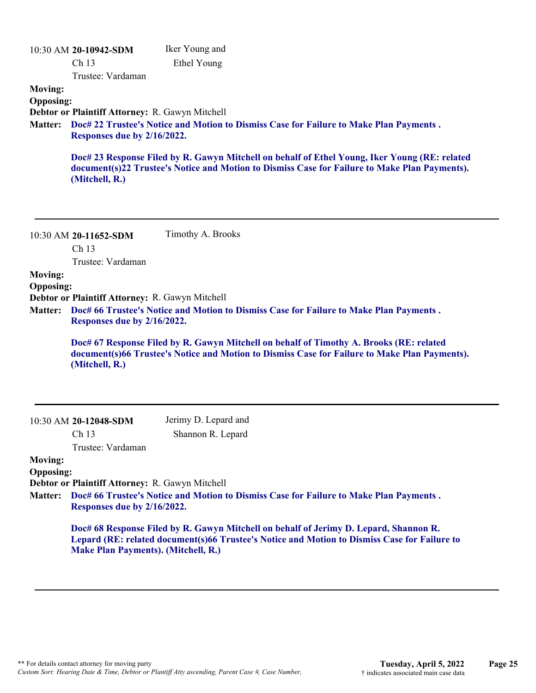| <b>Moving:</b><br><b>Opposing:</b><br><b>Matter:</b> | 10:30 AM 20-10942-SDM<br>Ch 13<br>Trustee: Vardaman<br>Debtor or Plaintiff Attorney: R. Gawyn Mitchell<br>Responses due by 2/16/2022.<br>(Mitchell, R.)            | Iker Young and<br>Ethel Young<br>Doc# 22 Trustee's Notice and Motion to Dismiss Case for Failure to Make Plan Payments.<br>Doc# 23 Response Filed by R. Gawyn Mitchell on behalf of Ethel Young, Iker Young (RE: related<br>document(s)22 Trustee's Notice and Motion to Dismiss Case for Failure to Make Plan Payments). |
|------------------------------------------------------|--------------------------------------------------------------------------------------------------------------------------------------------------------------------|---------------------------------------------------------------------------------------------------------------------------------------------------------------------------------------------------------------------------------------------------------------------------------------------------------------------------|
| <b>Moving:</b><br><b>Opposing:</b><br><b>Matter:</b> | 10:30 AM 20-11652-SDM<br>Ch <sub>13</sub><br>Trustee: Vardaman<br>Debtor or Plaintiff Attorney: R. Gawyn Mitchell<br>Responses due by 2/16/2022.<br>(Mitchell, R.) | Timothy A. Brooks<br>Doc# 66 Trustee's Notice and Motion to Dismiss Case for Failure to Make Plan Payments.<br>Doc# 67 Response Filed by R. Gawyn Mitchell on behalf of Timothy A. Brooks (RE: related<br>document(s)66 Trustee's Notice and Motion to Dismiss Case for Failure to Make Plan Payments).                   |
|                                                      | 10:30 AM 20-12048-SDM                                                                                                                                              | Jerimy D. Lepard and                                                                                                                                                                                                                                                                                                      |
|                                                      | Ch 13                                                                                                                                                              | Shannon R. Lepard                                                                                                                                                                                                                                                                                                         |
| <b>Moving:</b>                                       | Trustee: Vardaman                                                                                                                                                  |                                                                                                                                                                                                                                                                                                                           |
| <b>Opposing:</b>                                     |                                                                                                                                                                    |                                                                                                                                                                                                                                                                                                                           |
| <b>Matter:</b>                                       | Debtor or Plaintiff Attorney: R. Gawyn Mitchell<br>Responses due by 2/16/2022.                                                                                     | Doc# 66 Trustee's Notice and Motion to Dismiss Case for Failure to Make Plan Payments.                                                                                                                                                                                                                                    |
|                                                      | <b>Make Plan Payments). (Mitchell, R.)</b>                                                                                                                         | Doc# 68 Response Filed by R. Gawyn Mitchell on behalf of Jerimy D. Lepard, Shannon R.<br>Lepard (RE: related document(s)66 Trustee's Notice and Motion to Dismiss Case for Failure to                                                                                                                                     |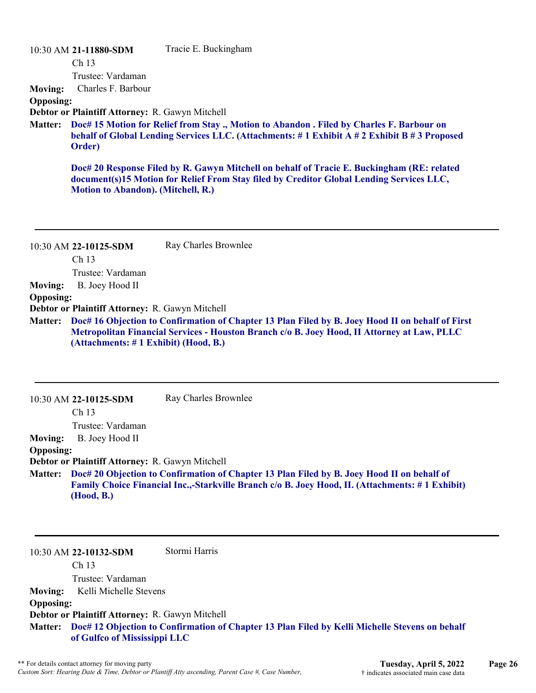|                  | 10:30 AM 21-11880-SDM                                                                                                                                                                           | Tracie E. Buckingham                                                                                                                                                                            |  |
|------------------|-------------------------------------------------------------------------------------------------------------------------------------------------------------------------------------------------|-------------------------------------------------------------------------------------------------------------------------------------------------------------------------------------------------|--|
|                  | Ch <sub>13</sub>                                                                                                                                                                                |                                                                                                                                                                                                 |  |
|                  | Trustee: Vardaman                                                                                                                                                                               |                                                                                                                                                                                                 |  |
| <b>Moving:</b>   | Charles F. Barbour                                                                                                                                                                              |                                                                                                                                                                                                 |  |
| <b>Opposing:</b> |                                                                                                                                                                                                 |                                                                                                                                                                                                 |  |
|                  | Debtor or Plaintiff Attorney: R. Gawyn Mitchell                                                                                                                                                 |                                                                                                                                                                                                 |  |
| <b>Matter:</b>   | Doc# 15 Motion for Relief from Stay., Motion to Abandon. Filed by Charles F. Barbour on<br>behalf of Global Lending Services LLC. (Attachments: #1 Exhibit A #2 Exhibit B #3 Proposed<br>Order) |                                                                                                                                                                                                 |  |
|                  | Motion to Abandon). (Mitchell, R.)                                                                                                                                                              | Doc# 20 Response Filed by R. Gawyn Mitchell on behalf of Tracie E. Buckingham (RE: related<br>document(s)15 Motion for Relief From Stay filed by Creditor Global Lending Services LLC,          |  |
|                  | 10:30 AM 22-10125-SDM<br>Ch <sub>13</sub>                                                                                                                                                       | Ray Charles Brownlee                                                                                                                                                                            |  |
|                  | Trustee: Vardaman                                                                                                                                                                               |                                                                                                                                                                                                 |  |
| <b>Moving:</b>   | B. Joey Hood II                                                                                                                                                                                 |                                                                                                                                                                                                 |  |
| <b>Opposing:</b> |                                                                                                                                                                                                 |                                                                                                                                                                                                 |  |
|                  | Debtor or Plaintiff Attorney: R. Gawyn Mitchell                                                                                                                                                 |                                                                                                                                                                                                 |  |
| <b>Matter:</b>   | (Attachments: #1 Exhibit) (Hood, B.)                                                                                                                                                            | Doc# 16 Objection to Confirmation of Chapter 13 Plan Filed by B. Joey Hood II on behalf of First<br>Metropolitan Financial Services - Houston Branch c/o B. Joey Hood, II Attorney at Law, PLLC |  |
|                  |                                                                                                                                                                                                 |                                                                                                                                                                                                 |  |

|                  | $10:30$ AM 22-10125-SDM                                | Ray Charles Brownlee                                                                                                                                                                          |
|------------------|--------------------------------------------------------|-----------------------------------------------------------------------------------------------------------------------------------------------------------------------------------------------|
|                  | Ch <sub>13</sub>                                       |                                                                                                                                                                                               |
|                  | Trustee: Vardaman                                      |                                                                                                                                                                                               |
| <b>Moving:</b>   | B. Joey Hood II                                        |                                                                                                                                                                                               |
| <b>Opposing:</b> |                                                        |                                                                                                                                                                                               |
|                  | <b>Debtor or Plaintiff Attorney: R. Gawyn Mitchell</b> |                                                                                                                                                                                               |
| <b>Matter:</b>   | (Hood, B.)                                             | Doc# 20 Objection to Confirmation of Chapter 13 Plan Filed by B. Joey Hood II on behalf of<br>Family Choice Financial Inc.,-Starkville Branch c/o B. Joey Hood, II. (Attachments: #1 Exhibit) |

Ch 13 Trustee: Vardaman **Moving:** Kelli Michelle Stevens **Opposing: Debtor or Plaintiff Attorney:** R. Gawyn Mitchell **Doc# 12 Objection to Confirmation of Chapter 13 Plan Filed by Kelli Michelle Stevens on behalf Matter: of Gulfco of Mississippi LLC**

Stormi Harris

10:30 AM **22-10132-SDM**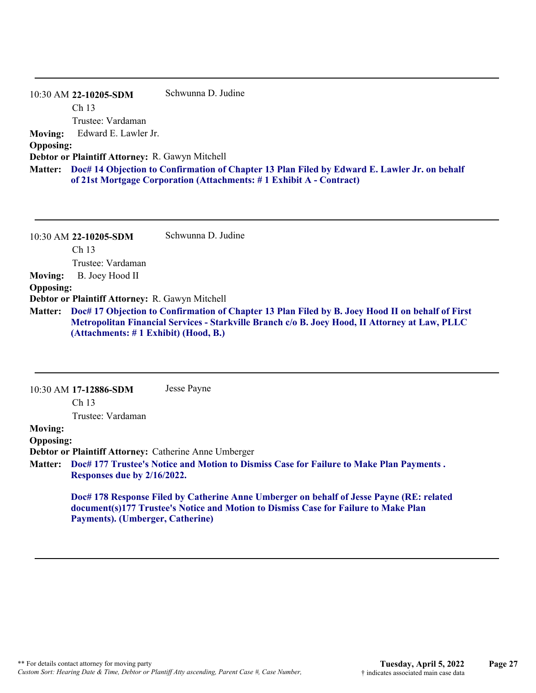|                  | 10:30 AM 22-10205-SDM                                  | Schwunna D. Judine                                                                                                                                                          |
|------------------|--------------------------------------------------------|-----------------------------------------------------------------------------------------------------------------------------------------------------------------------------|
|                  | Ch <sub>13</sub>                                       |                                                                                                                                                                             |
|                  | Trustee: Vardaman                                      |                                                                                                                                                                             |
| <b>Moving:</b>   | Edward E. Lawler Jr.                                   |                                                                                                                                                                             |
| <b>Opposing:</b> |                                                        |                                                                                                                                                                             |
|                  | <b>Debtor or Plaintiff Attorney: R. Gawyn Mitchell</b> |                                                                                                                                                                             |
|                  |                                                        | Matter: Doc# 14 Objection to Confirmation of Chapter 13 Plan Filed by Edward E. Lawler Jr. on behalf<br>of 21st Mortgage Corporation (Attachments: #1 Exhibit A - Contract) |

|                  | 10:30 AM 22-10205-SDM                           | Schwunna D. Judine                                                                                                                                                                                         |
|------------------|-------------------------------------------------|------------------------------------------------------------------------------------------------------------------------------------------------------------------------------------------------------------|
|                  | Ch <sub>13</sub>                                |                                                                                                                                                                                                            |
|                  | Trustee: Vardaman                               |                                                                                                                                                                                                            |
| <b>Moving:</b>   | B. Joey Hood II                                 |                                                                                                                                                                                                            |
| <b>Opposing:</b> |                                                 |                                                                                                                                                                                                            |
|                  | Debtor or Plaintiff Attorney: R. Gawyn Mitchell |                                                                                                                                                                                                            |
|                  | (Attachments: #1 Exhibit) (Hood, B.)            | Matter: Doc# 17 Objection to Confirmation of Chapter 13 Plan Filed by B. Joey Hood II on behalf of First<br>Metropolitan Financial Services - Starkville Branch c/o B. Joey Hood, II Attorney at Law, PLLC |

|                                                                                                           | $10:30$ AM 17-12886-SDM          | Jesse Payne                                                                                                                                                                     |
|-----------------------------------------------------------------------------------------------------------|----------------------------------|---------------------------------------------------------------------------------------------------------------------------------------------------------------------------------|
|                                                                                                           | Ch <sub>13</sub>                 |                                                                                                                                                                                 |
|                                                                                                           | Trustee: Vardaman                |                                                                                                                                                                                 |
| <b>Moving:</b>                                                                                            |                                  |                                                                                                                                                                                 |
| <b>Opposing:</b>                                                                                          |                                  |                                                                                                                                                                                 |
|                                                                                                           |                                  | Debtor or Plaintiff Attorney: Catherine Anne Umberger                                                                                                                           |
| Doc# 177 Trustee's Notice and Motion to Dismiss Case for Failure to Make Plan Payments.<br><b>Matter:</b> |                                  |                                                                                                                                                                                 |
|                                                                                                           | Responses due by 2/16/2022.      |                                                                                                                                                                                 |
|                                                                                                           | Payments). (Umberger, Catherine) | Doc# 178 Response Filed by Catherine Anne Umberger on behalf of Jesse Payne (RE: related<br>document(s)177 Trustee's Notice and Motion to Dismiss Case for Failure to Make Plan |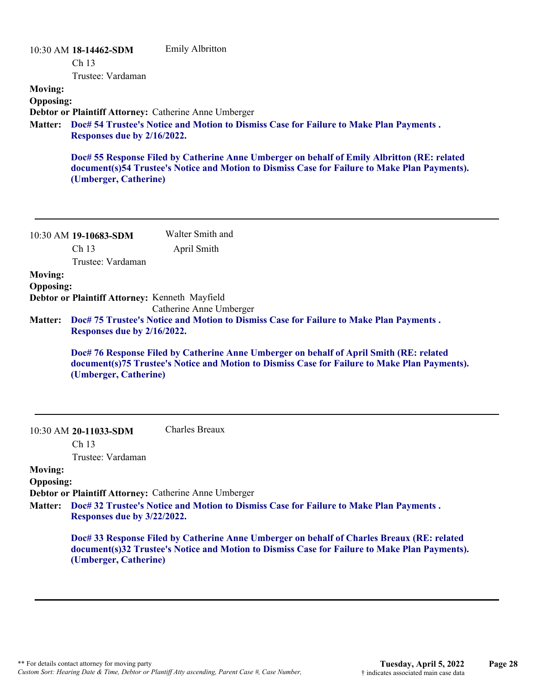| <b>Moving:</b><br><b>Opposing:</b><br><b>Matter:</b> | 10:30 AM 18-14462-SDM<br>Ch <sub>13</sub><br>Trustee: Vardaman<br>Responses due by 2/16/2022.<br>(Umberger, Catherine)                                                                                                                                                                                                                                                                                                  | <b>Emily Albritton</b><br>Debtor or Plaintiff Attorney: Catherine Anne Umberger<br>Doc# 54 Trustee's Notice and Motion to Dismiss Case for Failure to Make Plan Payments.<br>Doc# 55 Response Filed by Catherine Anne Umberger on behalf of Emily Albritton (RE: related<br>document(s)54 Trustee's Notice and Motion to Dismiss Case for Failure to Make Plan Payments). |
|------------------------------------------------------|-------------------------------------------------------------------------------------------------------------------------------------------------------------------------------------------------------------------------------------------------------------------------------------------------------------------------------------------------------------------------------------------------------------------------|---------------------------------------------------------------------------------------------------------------------------------------------------------------------------------------------------------------------------------------------------------------------------------------------------------------------------------------------------------------------------|
|                                                      | 10:30 AM 19-10683-SDM<br>Ch <sub>13</sub><br>Trustee: Vardaman                                                                                                                                                                                                                                                                                                                                                          | Walter Smith and<br>April Smith                                                                                                                                                                                                                                                                                                                                           |
| <b>Moving:</b><br><b>Opposing:</b><br><b>Matter:</b> | Debtor or Plaintiff Attorney: Kenneth Mayfield<br>Catherine Anne Umberger<br>Doc# 75 Trustee's Notice and Motion to Dismiss Case for Failure to Make Plan Payments.<br>Responses due by 2/16/2022.<br>Doc# 76 Response Filed by Catherine Anne Umberger on behalf of April Smith (RE: related<br>document(s)75 Trustee's Notice and Motion to Dismiss Case for Failure to Make Plan Payments).<br>(Umberger, Catherine) |                                                                                                                                                                                                                                                                                                                                                                           |
| <b>Moving:</b><br><b>Opposing:</b><br><b>Matter:</b> | 10:30 AM 20-11033-SDM<br>Ch <sub>13</sub><br>Trustee: Vardaman<br>Responses due by 3/22/2022.<br>(Umberger, Catherine)                                                                                                                                                                                                                                                                                                  | Charles Breaux<br>Debtor or Plaintiff Attorney: Catherine Anne Umberger<br>Doc# 32 Trustee's Notice and Motion to Dismiss Case for Failure to Make Plan Payments.<br>Doc# 33 Response Filed by Catherine Anne Umberger on behalf of Charles Breaux (RE: related<br>document(s)32 Trustee's Notice and Motion to Dismiss Case for Failure to Make Plan Payments).          |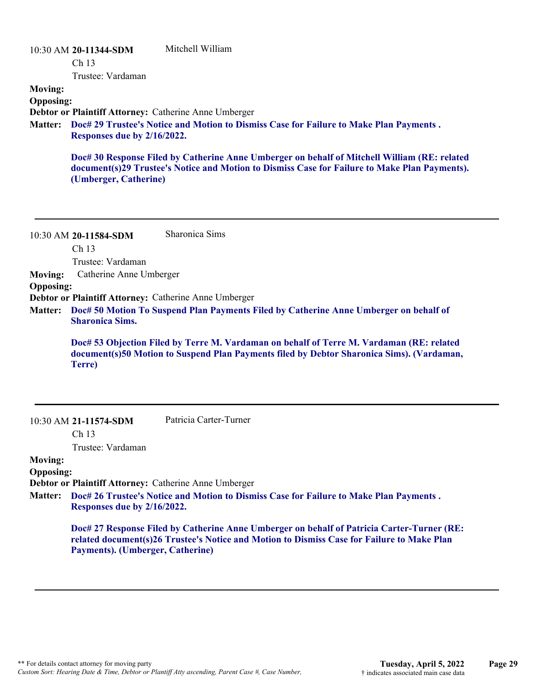### 10:30 AM **20-11344-SDM**  Ch 13 Trustee: Vardaman Mitchell William **Moving: Opposing: Debtor or Plaintiff Attorney:** Catherine Anne Umberger **Doc# 29 Trustee's Notice and Motion to Dismiss Case for Failure to Make Plan Payments . Matter: Responses due by 2/16/2022. Doc# 30 Response Filed by Catherine Anne Umberger on behalf of Mitchell William (RE: related document(s)29 Trustee's Notice and Motion to Dismiss Case for Failure to Make Plan Payments).**

**(Umberger, Catherine)**

10:30 AM **20-11584-SDM**  Ch 13 Trustee: Vardaman Sharonica Sims **Moving:** Catherine Anne Umberger **Opposing: Debtor or Plaintiff Attorney:** Catherine Anne Umberger **Doc# 50 Motion To Suspend Plan Payments Filed by Catherine Anne Umberger on behalf of Matter: Sharonica Sims. Doc# 53 Objection Filed by Terre M. Vardaman on behalf of Terre M. Vardaman (RE: related**

**document(s)50 Motion to Suspend Plan Payments filed by Debtor Sharonica Sims). (Vardaman, Terre)**

#### 10:30 AM **21-11574-SDM**

Patricia Carter-Turner

Ch 13

Trustee: Vardaman

## **Moving:**

**Opposing:**

**Debtor or Plaintiff Attorney:** Catherine Anne Umberger

**Doc# 26 Trustee's Notice and Motion to Dismiss Case for Failure to Make Plan Payments . Matter: Responses due by 2/16/2022.**

> **Doc# 27 Response Filed by Catherine Anne Umberger on behalf of Patricia Carter-Turner (RE: related document(s)26 Trustee's Notice and Motion to Dismiss Case for Failure to Make Plan Payments). (Umberger, Catherine)**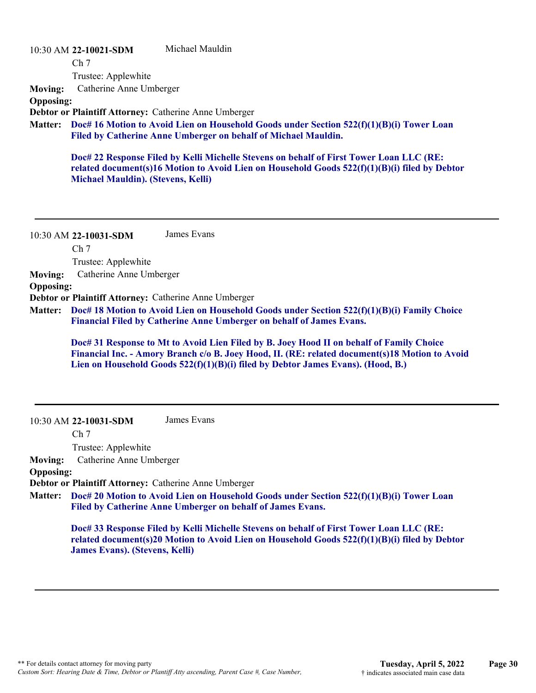10:30 AM **22-10021-SDM**  Michael Mauldin

Ch 7

Trustee: Applewhite

**Moving:** Catherine Anne Umberger

**Opposing:**

**Debtor or Plaintiff Attorney:** Catherine Anne Umberger

**Doc# 16 Motion to Avoid Lien on Household Goods under Section 522(f)(1)(B)(i) Tower Loan Matter: Filed by Catherine Anne Umberger on behalf of Michael Mauldin.**

**Doc# 22 Response Filed by Kelli Michelle Stevens on behalf of First Tower Loan LLC (RE: related document(s)16 Motion to Avoid Lien on Household Goods 522(f)(1)(B)(i) filed by Debtor Michael Mauldin). (Stevens, Kelli)**

10:30 AM **22-10031-SDM**  James Evans

Ch 7

Trustee: Applewhite

**Moving:** Catherine Anne Umberger

**Opposing:**

**Debtor or Plaintiff Attorney:** Catherine Anne Umberger

**Doc# 18 Motion to Avoid Lien on Household Goods under Section 522(f)(1)(B)(i) Family Choice Matter: Financial Filed by Catherine Anne Umberger on behalf of James Evans.**

**Doc# 31 Response to Mt to Avoid Lien Filed by B. Joey Hood II on behalf of Family Choice Financial Inc. - Amory Branch c/o B. Joey Hood, II. (RE: related document(s)18 Motion to Avoid Lien on Household Goods 522(f)(1)(B)(i) filed by Debtor James Evans). (Hood, B.)**

10:30 AM **22-10031-SDM**  James Evans

Ch 7

Trustee: Applewhite

**Moving:** Catherine Anne Umberger

### **Opposing:**

**Debtor or Plaintiff Attorney:** Catherine Anne Umberger

**Doc# 20 Motion to Avoid Lien on Household Goods under Section 522(f)(1)(B)(i) Tower Loan Matter: Filed by Catherine Anne Umberger on behalf of James Evans.**

**Doc# 33 Response Filed by Kelli Michelle Stevens on behalf of First Tower Loan LLC (RE: related document(s)20 Motion to Avoid Lien on Household Goods 522(f)(1)(B)(i) filed by Debtor James Evans). (Stevens, Kelli)**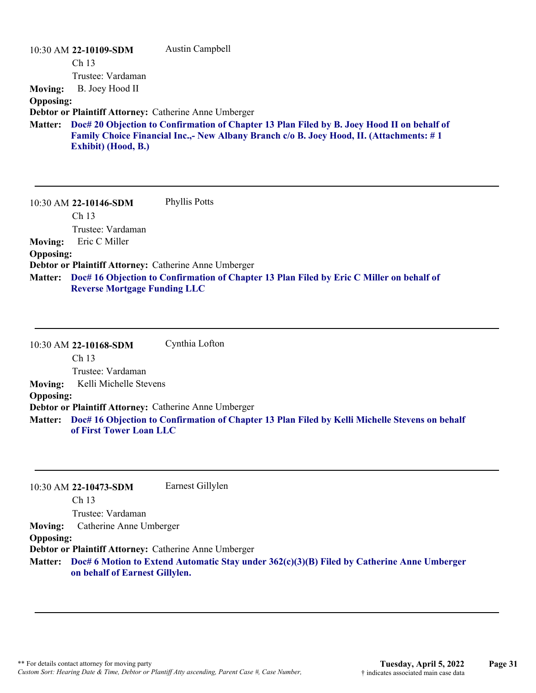|                  | 10:30 AM 22-10109-SDM                                 | Austin Campbell                                                                                 |
|------------------|-------------------------------------------------------|-------------------------------------------------------------------------------------------------|
|                  | Ch <sub>13</sub>                                      |                                                                                                 |
|                  | Trustee: Vardaman                                     |                                                                                                 |
| <b>Moving:</b>   | B. Joey Hood II                                       |                                                                                                 |
| <b>Opposing:</b> |                                                       |                                                                                                 |
|                  | Debtor or Plaintiff Attorney: Catherine Anne Umberger |                                                                                                 |
| <b>Matter:</b>   |                                                       | Doc# 20 Objection to Confirmation of Chapter 13 Plan Filed by B. Joey Hood II on behalf of      |
|                  |                                                       | <b>Family Choice Financial Inc.,- New Albany Branch c/o B. Joey Hood, II. (Attachments: #1)</b> |
|                  | Exhibit) (Hood, B.)                                   |                                                                                                 |
|                  |                                                       |                                                                                                 |
|                  |                                                       |                                                                                                 |

10:30 AM **22-10146-SDM**  Ch 13 Trustee: Vardaman Phyllis Potts **Moving:** Eric C Miller **Opposing: Debtor or Plaintiff Attorney:** Catherine Anne Umberger

**Doc# 16 Objection to Confirmation of Chapter 13 Plan Filed by Eric C Miller on behalf of Matter: Reverse Mortgage Funding LLC**

10:30 AM **22-10168-SDM**  Ch 13 Trustee: Vardaman Cynthia Lofton **Moving:** Kelli Michelle Stevens **Opposing: Debtor or Plaintiff Attorney:** Catherine Anne Umberger **Doc# 16 Objection to Confirmation of Chapter 13 Plan Filed by Kelli Michelle Stevens on behalf Matter: of First Tower Loan LLC**

10:30 AM **22-10473-SDM**  Ch 13 Trustee: Vardaman Earnest Gillylen **Moving:** Catherine Anne Umberger **Opposing: Debtor or Plaintiff Attorney:** Catherine Anne Umberger **Doc# 6 Motion to Extend Automatic Stay under 362(c)(3)(B) Filed by Catherine Anne Umberger Matter: on behalf of Earnest Gillylen.**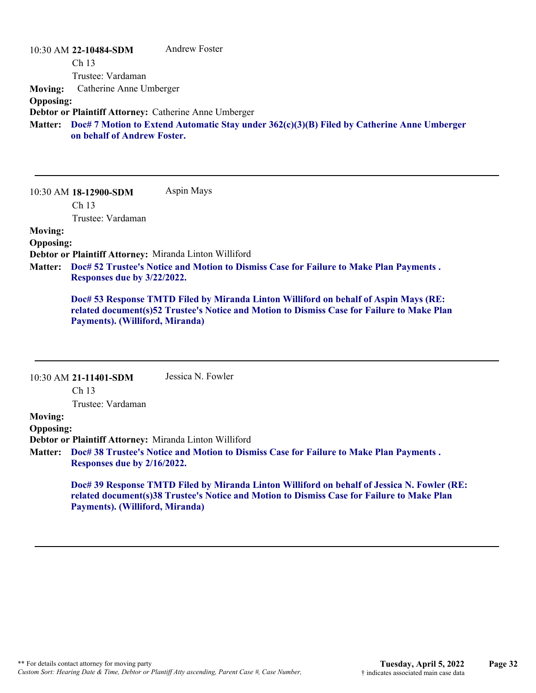|                  | 10:30 AM 22-10484-SDM                                 | Andrew Foster                                                                                      |
|------------------|-------------------------------------------------------|----------------------------------------------------------------------------------------------------|
|                  | Ch <sub>13</sub>                                      |                                                                                                    |
|                  | Trustee: Vardaman                                     |                                                                                                    |
| <b>Moving:</b>   | Catherine Anne Umberger                               |                                                                                                    |
| <b>Opposing:</b> |                                                       |                                                                                                    |
|                  | Debtor or Plaintiff Attorney: Catherine Anne Umberger |                                                                                                    |
|                  | on behalf of Andrew Foster.                           | Matter: Doc# 7 Motion to Extend Automatic Stay under 362(c)(3)(B) Filed by Catherine Anne Umberger |

10:30 AM **18-12900-SDM**  Ch 13 Trustee: Vardaman Aspin Mays **Moving: Opposing: Debtor or Plaintiff Attorney:** Miranda Linton Williford

**Doc# 52 Trustee's Notice and Motion to Dismiss Case for Failure to Make Plan Payments . Matter: Responses due by 3/22/2022.**

**Doc# 53 Response TMTD Filed by Miranda Linton Williford on behalf of Aspin Mays (RE: related document(s)52 Trustee's Notice and Motion to Dismiss Case for Failure to Make Plan Payments). (Williford, Miranda)**

|                  | 10:30 AM 21-11401-SDM                                                                                                        | Jessica N. Fowler                                                                                                                                                                         |  |
|------------------|------------------------------------------------------------------------------------------------------------------------------|-------------------------------------------------------------------------------------------------------------------------------------------------------------------------------------------|--|
|                  | Ch <sub>13</sub>                                                                                                             |                                                                                                                                                                                           |  |
|                  | Trustee: Vardaman                                                                                                            |                                                                                                                                                                                           |  |
| <b>Moving:</b>   |                                                                                                                              |                                                                                                                                                                                           |  |
| <b>Opposing:</b> |                                                                                                                              |                                                                                                                                                                                           |  |
|                  |                                                                                                                              | <b>Debtor or Plaintiff Attorney: Miranda Linton Williford</b>                                                                                                                             |  |
|                  | Matter: Doc#38 Trustee's Notice and Motion to Dismiss Case for Failure to Make Plan Payments.<br>Responses due by 2/16/2022. |                                                                                                                                                                                           |  |
|                  | Payments). (Williford, Miranda)                                                                                              | Doc# 39 Response TMTD Filed by Miranda Linton Williford on behalf of Jessica N. Fowler (RE:<br>related document(s)38 Trustee's Notice and Motion to Dismiss Case for Failure to Make Plan |  |